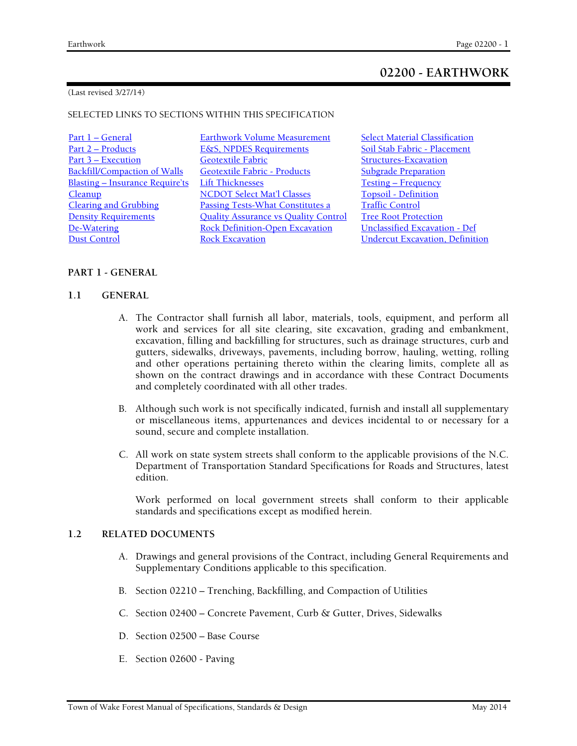# **02200 - EARTHWORK**

#### (Last revised 3/27/14)

#### SELECTED LINKS TO SECTIONS WITHIN THIS SPECIFICATION

| <u>Part 1 – General</u>                | <b>Earthwork Volume Measurement</b>         | <b>Select Material Classification</b>  |
|----------------------------------------|---------------------------------------------|----------------------------------------|
| Part 2 - Products                      | <b>E&amp;S, NPDES Requirements</b>          | Soil Stab Fabric - Placement           |
| Part 3 – Execution                     | <b>Geotextile Fabric</b>                    | <b>Structures-Excavation</b>           |
| <b>Backfill/Compaction of Walls</b>    | Geotextile Fabric - Products                | <b>Subgrade Preparation</b>            |
| <b>Blasting - Insurance Require'ts</b> | <b>Lift Thicknesses</b>                     | <b>Testing – Frequency</b>             |
| <b>Cleanup</b>                         | <b>NCDOT Select Mat'l Classes</b>           | <b>Topsoil - Definition</b>            |
| <b>Clearing and Grubbing</b>           | <b>Passing Tests-What Constitutes a</b>     | <b>Traffic Control</b>                 |
| <b>Density Requirements</b>            | <b>Quality Assurance vs Quality Control</b> | <b>Tree Root Protection</b>            |
| De-Watering                            | <b>Rock Definition-Open Excavation</b>      | <b>Unclassified Excavation - Def</b>   |
| <b>Dust Control</b>                    | <b>Rock Excavation</b>                      | <b>Undercut Excavation, Definition</b> |

# **PART 1 - GENERAL**

# **1.1 GENERAL**

- A. The Contractor shall furnish all labor, materials, tools, equipment, and perform all work and services for all site clearing, site excavation, grading and embankment, excavation, filling and backfilling for structures, such as drainage structures, curb and gutters, sidewalks, driveways, pavements, including borrow, hauling, wetting, rolling and other operations pertaining thereto within the clearing limits, complete all as shown on the contract drawings and in accordance with these Contract Documents and completely coordinated with all other trades.
- B. Although such work is not specifically indicated, furnish and install all supplementary or miscellaneous items, appurtenances and devices incidental to or necessary for a sound, secure and complete installation.
- C. All work on state system streets shall conform to the applicable provisions of the N.C. Department of Transportation Standard Specifications for Roads and Structures, latest edition.

Work performed on local government streets shall conform to their applicable standards and specifications except as modified herein.

# **1.2 RELATED DOCUMENTS**

- A. Drawings and general provisions of the Contract, including General Requirements and Supplementary Conditions applicable to this specification.
- B. Section 02210 Trenching, Backfilling, and Compaction of Utilities
- C. Section 02400 Concrete Pavement, Curb & Gutter, Drives, Sidewalks
- D. Section 02500 Base Course
- E. Section 02600 Paving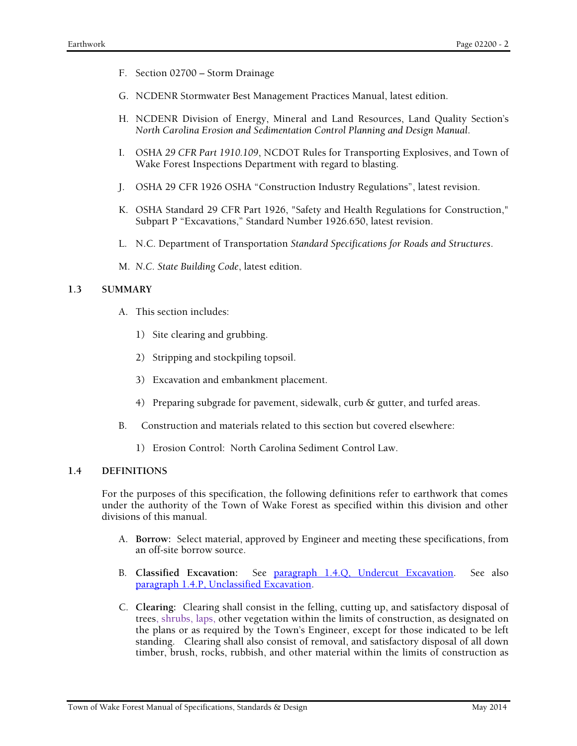- F. Section 02700 Storm Drainage
- G. NCDENR Stormwater Best Management Practices Manual, latest edition.
- H. NCDENR Division of Energy, Mineral and Land Resources, Land Quality Section's *North Carolina Erosion and Sedimentation Control Planning and Design Manual*.
- I. OSHA *29 CFR Part 1910.109*, NCDOT Rules for Transporting Explosives, and Town of Wake Forest Inspections Department with regard to blasting.
- J. OSHA 29 CFR 1926 OSHA "Construction Industry Regulations", latest revision.
- K. OSHA Standard 29 CFR Part 1926, "Safety and Health Regulations for Construction," Subpart P "Excavations," Standard Number 1926.650, latest revision.
- L. N.C. Department of Transportation *Standard Specifications for Roads and Structures*.
- M. *N.C. State Building Code*, latest edition.

#### **1.3 SUMMARY**

- A. This section includes:
	- 1) Site clearing and grubbing.
	- 2) Stripping and stockpiling topsoil.
	- 3) Excavation and embankment placement.
	- 4) Preparing subgrade for pavement, sidewalk, curb & gutter, and turfed areas.
- B. Construction and materials related to this section but covered elsewhere:
	- 1) Erosion Control: North Carolina Sediment Control Law.

# **1.4 DEFINITIONS**

For the purposes of this specification, the following definitions refer to earthwork that comes under the authority of the Town of Wake Forest as specified within this division and other divisions of this manual.

- A. **Borrow:** Select material, approved by Engineer and meeting these specifications, from an off-site borrow source.
- B. **Classified Excavation:** See paragraph 1.4.Q, Undercut Excavation. See also paragraph 1.4.P, Unclassified Excavation.
- C. **Clearing:** Clearing shall consist in the felling, cutting up, and satisfactory disposal of trees, shrubs, laps, other vegetation within the limits of construction, as designated on the plans or as required by the Town's Engineer, except for those indicated to be left standing. Clearing shall also consist of removal, and satisfactory disposal of all down timber, brush, rocks, rubbish, and other material within the limits of construction as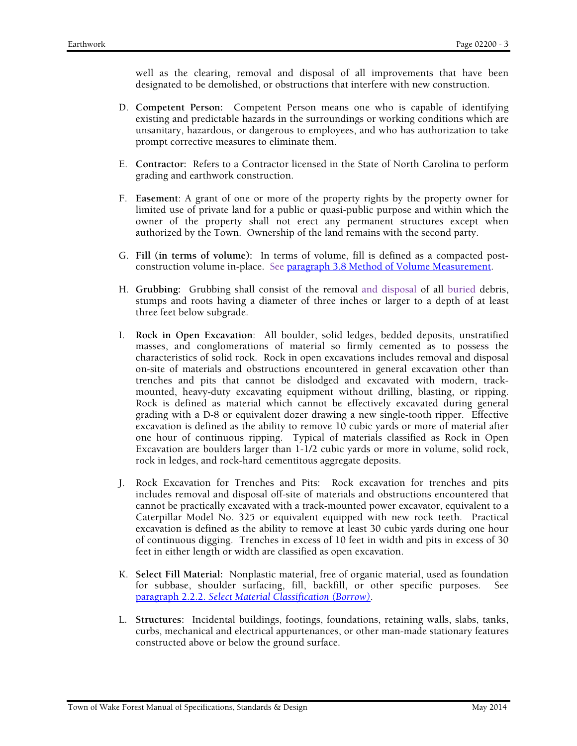well as the clearing, removal and disposal of all improvements that have been designated to be demolished, or obstructions that interfere with new construction.

- D. **Competent Person:** Competent Person means one who is capable of identifying existing and predictable hazards in the surroundings or working conditions which are unsanitary, hazardous, or dangerous to employees, and who has authorization to take prompt corrective measures to eliminate them.
- E. **Contractor:** Refers to a Contractor licensed in the State of North Carolina to perform grading and earthwork construction.
- F. **Easement**: A grant of one or more of the property rights by the property owner for limited use of private land for a public or quasi-public purpose and within which the owner of the property shall not erect any permanent structures except when authorized by the Town. Ownership of the land remains with the second party.
- G. **Fill (in terms of volume):** In terms of volume, fill is defined as a compacted postconstruction volume in-place. See paragraph 3.8 Method of Volume Measurement.
- H. **Grubbing:** Grubbing shall consist of the removal and disposal of all buried debris, stumps and roots having a diameter of three inches or larger to a depth of at least three feet below subgrade.
- I. **Rock in Open Excavation**: All boulder, solid ledges, bedded deposits, unstratified masses, and conglomerations of material so firmly cemented as to possess the characteristics of solid rock. Rock in open excavations includes removal and disposal on-site of materials and obstructions encountered in general excavation other than trenches and pits that cannot be dislodged and excavated with modern, trackmounted, heavy-duty excavating equipment without drilling, blasting, or ripping. Rock is defined as material which cannot be effectively excavated during general grading with a D-8 or equivalent dozer drawing a new single-tooth ripper. Effective excavation is defined as the ability to remove 10 cubic yards or more of material after one hour of continuous ripping. Typical of materials classified as Rock in Open Excavation are boulders larger than 1-1/2 cubic yards or more in volume, solid rock, rock in ledges, and rock-hard cementitous aggregate deposits.
- J. Rock Excavation for Trenches and Pits: Rock excavation for trenches and pits includes removal and disposal off-site of materials and obstructions encountered that cannot be practically excavated with a track-mounted power excavator, equivalent to a Caterpillar Model No. 325 or equivalent equipped with new rock teeth. Practical excavation is defined as the ability to remove at least 30 cubic yards during one hour of continuous digging. Trenches in excess of 10 feet in width and pits in excess of 30 feet in either length or width are classified as open excavation.
- K. **Select Fill Material:** Nonplastic material, free of organic material, used as foundation for subbase, shoulder surfacing, fill, backfill, or other specific purposes. See paragraph 2.2.2. *Select Material Classification (Borrow)*.
- L. **Structures:** Incidental buildings, footings, foundations, retaining walls, slabs, tanks, curbs, mechanical and electrical appurtenances, or other man-made stationary features constructed above or below the ground surface.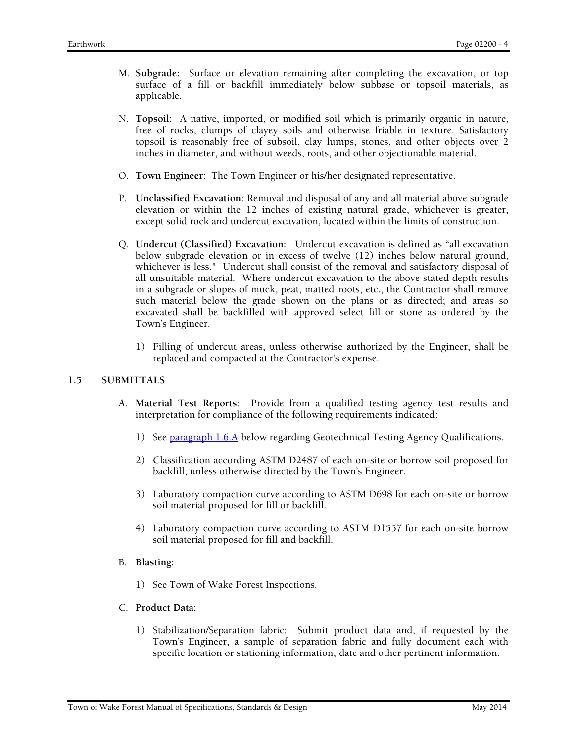- M. **Subgrade:** Surface or elevation remaining after completing the excavation, or top surface of a fill or backfill immediately below subbase or topsoil materials, as applicable.
- N. **Topsoil:** A native, imported, or modified soil which is primarily organic in nature, free of rocks, clumps of clayey soils and otherwise friable in texture. Satisfactory topsoil is reasonably free of subsoil, clay lumps, stones, and other objects over 2 inches in diameter, and without weeds, roots, and other objectionable material.
- O. **Town Engineer:** The Town Engineer or his/her designated representative.
- P. **Unclassified Excavation**: Removal and disposal of any and all material above subgrade elevation or within the 12 inches of existing natural grade, whichever is greater, except solid rock and undercut excavation, located within the limits of construction.
- Q. **Undercut (Classified) Excavation:** Undercut excavation is defined as "all excavation below subgrade elevation or in excess of twelve (12) inches below natural ground, whichever is less." Undercut shall consist of the removal and satisfactory disposal of all unsuitable material. Where undercut excavation to the above stated depth results in a subgrade or slopes of muck, peat, matted roots, etc., the Contractor shall remove such material below the grade shown on the plans or as directed; and areas so excavated shall be backfilled with approved select fill or stone as ordered by the Town's Engineer.
	- 1) Filling of undercut areas, unless otherwise authorized by the Engineer, shall be replaced and compacted at the Contractor's expense.

# **1.5 SUBMITTALS**

- A. **Material Test Reports**: Provide from a qualified testing agency test results and interpretation for compliance of the following requirements indicated:
	- 1) See paragraph 1.6.A below regarding Geotechnical Testing Agency Qualifications.
	- 2) Classification according ASTM D2487 of each on-site or borrow soil proposed for backfill, unless otherwise directed by the Town's Engineer.
	- 3) Laboratory compaction curve according to ASTM D698 for each on-site or borrow soil material proposed for fill or backfill.
	- 4) Laboratory compaction curve according to ASTM D1557 for each on-site borrow soil material proposed for fill and backfill.
- B. **Blasting:** 
	- 1) See Town of Wake Forest Inspections.
- C. **Product Data:** 
	- 1) Stabilization/Separation fabric: Submit product data and, if requested by the Town's Engineer, a sample of separation fabric and fully document each with specific location or stationing information, date and other pertinent information.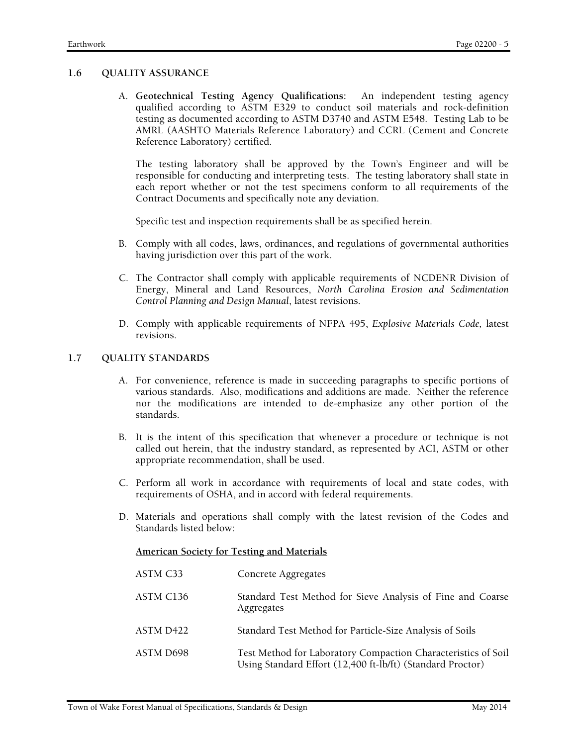### **1.6 QUALITY ASSURANCE**

A. **Geotechnical Testing Agency Qualifications:** An independent testing agency qualified according to ASTM E329 to conduct soil materials and rock-definition testing as documented according to ASTM D3740 and ASTM E548. Testing Lab to be AMRL (AASHTO Materials Reference Laboratory) and CCRL (Cement and Concrete Reference Laboratory) certified.

The testing laboratory shall be approved by the Town's Engineer and will be responsible for conducting and interpreting tests. The testing laboratory shall state in each report whether or not the test specimens conform to all requirements of the Contract Documents and specifically note any deviation.

Specific test and inspection requirements shall be as specified herein.

- B. Comply with all codes, laws, ordinances, and regulations of governmental authorities having jurisdiction over this part of the work.
- C. The Contractor shall comply with applicable requirements of NCDENR Division of Energy, Mineral and Land Resources, *North Carolina Erosion and Sedimentation Control Planning and Design Manual*, latest revisions.
- D. Comply with applicable requirements of NFPA 495, *Explosive Materials Code,* latest revisions.

# **1.7 QUALITY STANDARDS**

- A. For convenience, reference is made in succeeding paragraphs to specific portions of various standards. Also, modifications and additions are made. Neither the reference nor the modifications are intended to de-emphasize any other portion of the standards.
- B. It is the intent of this specification that whenever a procedure or technique is not called out herein, that the industry standard, as represented by ACI, ASTM or other appropriate recommendation, shall be used.
- C. Perform all work in accordance with requirements of local and state codes, with requirements of OSHA, and in accord with federal requirements.
- D. Materials and operations shall comply with the latest revision of the Codes and Standards listed below:

#### **American Society for Testing and Materials**

| ASTM C33  | Concrete Aggregates                                                                                                         |
|-----------|-----------------------------------------------------------------------------------------------------------------------------|
| ASTM C136 | Standard Test Method for Sieve Analysis of Fine and Coarse<br>Aggregates                                                    |
| ASTM D422 | Standard Test Method for Particle-Size Analysis of Soils                                                                    |
| ASTM D698 | Test Method for Laboratory Compaction Characteristics of Soil<br>Using Standard Effort (12,400 ft-lb/ft) (Standard Proctor) |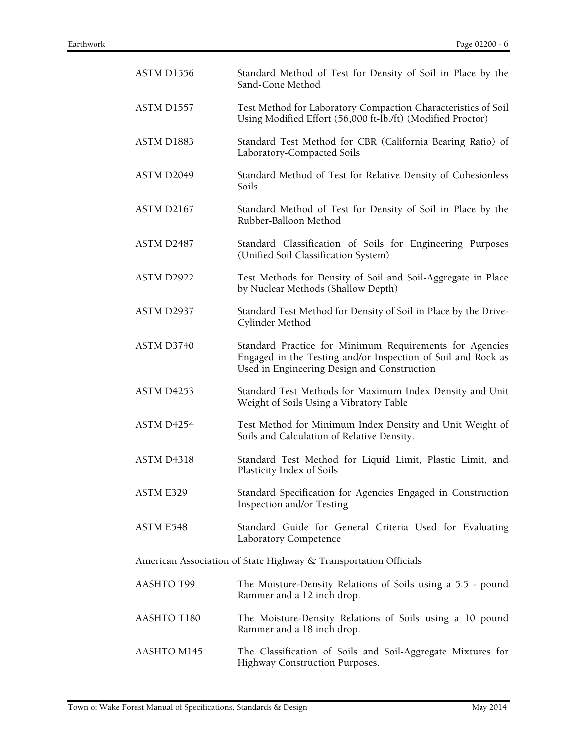| ASTM D1556                                                       | Standard Method of Test for Density of Soil in Place by the<br>Sand-Cone Method                                                                                        |  |
|------------------------------------------------------------------|------------------------------------------------------------------------------------------------------------------------------------------------------------------------|--|
| ASTM D1557                                                       | Test Method for Laboratory Compaction Characteristics of Soil<br>Using Modified Effort (56,000 ft-lb./ft) (Modified Proctor)                                           |  |
| ASTM D1883                                                       | Standard Test Method for CBR (California Bearing Ratio) of<br>Laboratory-Compacted Soils                                                                               |  |
| ASTM D2049                                                       | Standard Method of Test for Relative Density of Cohesionless<br>Soils                                                                                                  |  |
| ASTM D2167                                                       | Standard Method of Test for Density of Soil in Place by the<br>Rubber-Balloon Method                                                                                   |  |
| ASTM D2487                                                       | Standard Classification of Soils for Engineering Purposes<br>(Unified Soil Classification System)                                                                      |  |
| ASTM D2922                                                       | Test Methods for Density of Soil and Soil-Aggregate in Place<br>by Nuclear Methods (Shallow Depth)                                                                     |  |
| ASTM D2937                                                       | Standard Test Method for Density of Soil in Place by the Drive-<br>Cylinder Method                                                                                     |  |
| ASTM D3740                                                       | Standard Practice for Minimum Requirements for Agencies<br>Engaged in the Testing and/or Inspection of Soil and Rock as<br>Used in Engineering Design and Construction |  |
| ASTM D4253                                                       | Standard Test Methods for Maximum Index Density and Unit<br>Weight of Soils Using a Vibratory Table                                                                    |  |
| ASTM D4254                                                       | Test Method for Minimum Index Density and Unit Weight of<br>Soils and Calculation of Relative Density.                                                                 |  |
| ASTM D4318                                                       | Standard Test Method for Liquid Limit, Plastic Limit, and<br>Plasticity Index of Soils                                                                                 |  |
| ASTM E329                                                        | Standard Specification for Agencies Engaged in Construction<br>Inspection and/or Testing                                                                               |  |
| ASTM E548                                                        | Standard Guide for General Criteria Used for Evaluating<br>Laboratory Competence                                                                                       |  |
| American Association of State Highway & Transportation Officials |                                                                                                                                                                        |  |
| <b>AASHTO T99</b>                                                | The Moisture-Density Relations of Soils using a 5.5 - pound<br>Rammer and a 12 inch drop.                                                                              |  |
| AASHTO T180                                                      | The Moisture-Density Relations of Soils using a 10 pound<br>Rammer and a 18 inch drop.                                                                                 |  |
| AASHTO M145                                                      | The Classification of Soils and Soil-Aggregate Mixtures for<br>Highway Construction Purposes.                                                                          |  |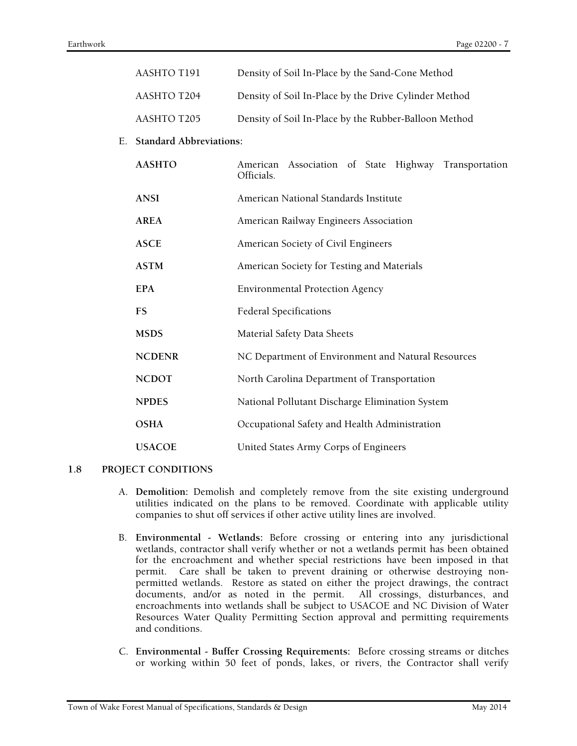|    | AASHTO T191                    | Density of Soil In-Place by the Sand-Cone Method                      |  |  |
|----|--------------------------------|-----------------------------------------------------------------------|--|--|
|    | AASHTO T204                    | Density of Soil In-Place by the Drive Cylinder Method                 |  |  |
|    | AASHTO T205                    | Density of Soil In-Place by the Rubber-Balloon Method                 |  |  |
| Е. | <b>Standard Abbreviations:</b> |                                                                       |  |  |
|    | <b>AASHTO</b>                  | American Association of State Highway<br>Transportation<br>Officials. |  |  |
|    | <b>ANSI</b>                    | American National Standards Institute                                 |  |  |
|    | <b>AREA</b>                    | American Railway Engineers Association                                |  |  |
|    | <b>ASCE</b>                    | American Society of Civil Engineers                                   |  |  |
|    | <b>ASTM</b>                    | American Society for Testing and Materials                            |  |  |
|    | <b>EPA</b>                     | <b>Environmental Protection Agency</b>                                |  |  |
|    | <b>FS</b>                      | <b>Federal Specifications</b>                                         |  |  |
|    | <b>MSDS</b>                    | Material Safety Data Sheets                                           |  |  |
|    | <b>NCDENR</b>                  | NC Department of Environment and Natural Resources                    |  |  |
|    | <b>NCDOT</b>                   | North Carolina Department of Transportation                           |  |  |
|    | <b>NPDES</b>                   | National Pollutant Discharge Elimination System                       |  |  |
|    | <b>OSHA</b>                    | Occupational Safety and Health Administration                         |  |  |
|    | <b>USACOE</b>                  | United States Army Corps of Engineers                                 |  |  |

#### **1.8 PROJECT CONDITIONS**

- A. **Demolition:** Demolish and completely remove from the site existing underground utilities indicated on the plans to be removed. Coordinate with applicable utility companies to shut off services if other active utility lines are involved.
- B. **Environmental Wetlands:** Before crossing or entering into any jurisdictional wetlands, contractor shall verify whether or not a wetlands permit has been obtained for the encroachment and whether special restrictions have been imposed in that permit. Care shall be taken to prevent draining or otherwise destroying nonpermitted wetlands. Restore as stated on either the project drawings, the contract documents, and/or as noted in the permit. All crossings, disturbances, and encroachments into wetlands shall be subject to USACOE and NC Division of Water Resources Water Quality Permitting Section approval and permitting requirements and conditions.
- C. **Environmental Buffer Crossing Requirements:** Before crossing streams or ditches or working within 50 feet of ponds, lakes, or rivers, the Contractor shall verify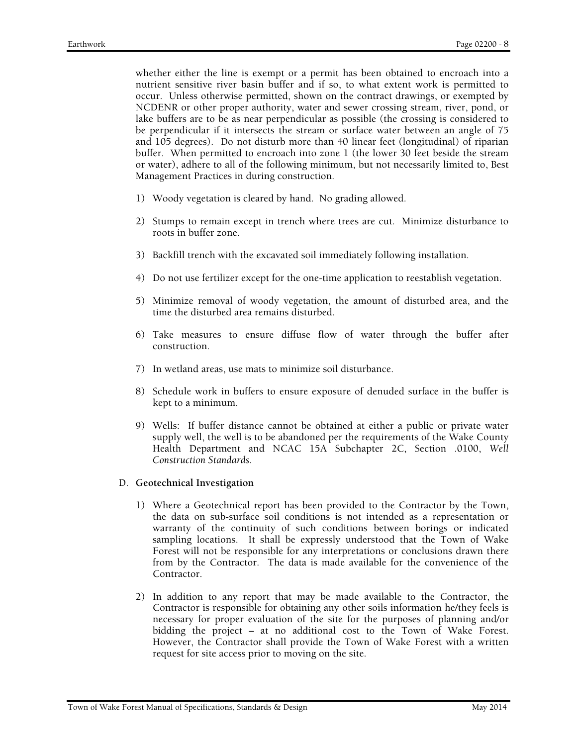whether either the line is exempt or a permit has been obtained to encroach into a nutrient sensitive river basin buffer and if so, to what extent work is permitted to occur. Unless otherwise permitted, shown on the contract drawings, or exempted by NCDENR or other proper authority, water and sewer crossing stream, river, pond, or lake buffers are to be as near perpendicular as possible (the crossing is considered to be perpendicular if it intersects the stream or surface water between an angle of 75 and 105 degrees). Do not disturb more than 40 linear feet (longitudinal) of riparian buffer. When permitted to encroach into zone 1 (the lower 30 feet beside the stream or water), adhere to all of the following minimum, but not necessarily limited to, Best Management Practices in during construction.

- 1) Woody vegetation is cleared by hand. No grading allowed.
- 2) Stumps to remain except in trench where trees are cut. Minimize disturbance to roots in buffer zone.
- 3) Backfill trench with the excavated soil immediately following installation.
- 4) Do not use fertilizer except for the one-time application to reestablish vegetation.
- 5) Minimize removal of woody vegetation, the amount of disturbed area, and the time the disturbed area remains disturbed.
- 6) Take measures to ensure diffuse flow of water through the buffer after construction.
- 7) In wetland areas, use mats to minimize soil disturbance.
- 8) Schedule work in buffers to ensure exposure of denuded surface in the buffer is kept to a minimum.
- 9) Wells: If buffer distance cannot be obtained at either a public or private water supply well, the well is to be abandoned per the requirements of the Wake County Health Department and NCAC 15A Subchapter 2C, Section .0100, *Well Construction Standards*.
- D. **Geotechnical Investigation** 
	- 1) Where a Geotechnical report has been provided to the Contractor by the Town, the data on sub-surface soil conditions is not intended as a representation or warranty of the continuity of such conditions between borings or indicated sampling locations. It shall be expressly understood that the Town of Wake Forest will not be responsible for any interpretations or conclusions drawn there from by the Contractor. The data is made available for the convenience of the Contractor.
	- 2) In addition to any report that may be made available to the Contractor, the Contractor is responsible for obtaining any other soils information he/they feels is necessary for proper evaluation of the site for the purposes of planning and/or bidding the project – at no additional cost to the Town of Wake Forest. However, the Contractor shall provide the Town of Wake Forest with a written request for site access prior to moving on the site.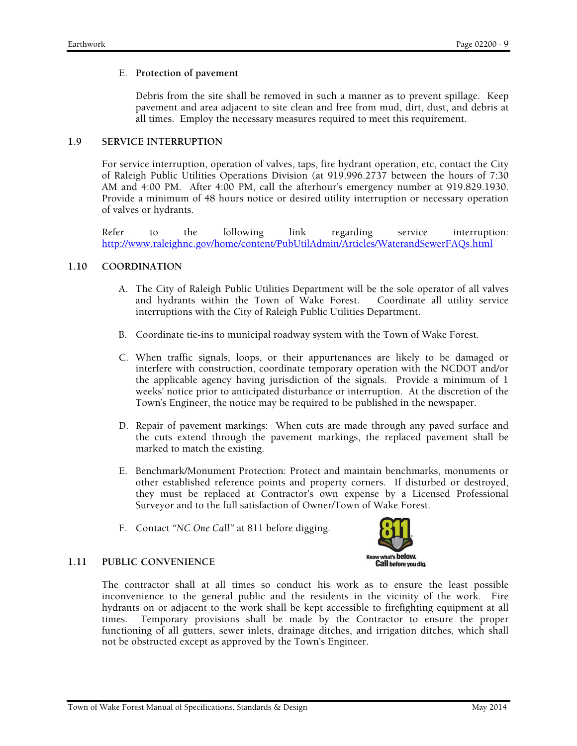### E. **Protection of pavement**

Debris from the site shall be removed in such a manner as to prevent spillage. Keep pavement and area adjacent to site clean and free from mud, dirt, dust, and debris at all times. Employ the necessary measures required to meet this requirement.

### **1.9 SERVICE INTERRUPTION**

For service interruption, operation of valves, taps, fire hydrant operation, etc, contact the City of Raleigh Public Utilities Operations Division (at 919.996.2737 between the hours of 7:30 AM and 4:00 PM. After 4:00 PM, call the afterhour's emergency number at 919.829.1930. Provide a minimum of 48 hours notice or desired utility interruption or necessary operation of valves or hydrants.

Refer to the following link regarding service interruption: http://www.raleighnc.gov/home/content/PubUtilAdmin/Articles/WaterandSewerFAQs.html

# **1.10 COORDINATION**

- A. The City of Raleigh Public Utilities Department will be the sole operator of all valves and hydrants within the Town of Wake Forest. Coordinate all utility service interruptions with the City of Raleigh Public Utilities Department.
- B. Coordinate tie-ins to municipal roadway system with the Town of Wake Forest.
- C. When traffic signals, loops, or their appurtenances are likely to be damaged or interfere with construction, coordinate temporary operation with the NCDOT and/or the applicable agency having jurisdiction of the signals. Provide a minimum of 1 weeks' notice prior to anticipated disturbance or interruption. At the discretion of the Town's Engineer, the notice may be required to be published in the newspaper.
- D. Repair of pavement markings: When cuts are made through any paved surface and the cuts extend through the pavement markings, the replaced pavement shall be marked to match the existing.
- E. Benchmark/Monument Protection: Protect and maintain benchmarks, monuments or other established reference points and property corners. If disturbed or destroyed, they must be replaced at Contractor's own expense by a Licensed Professional Surveyor and to the full satisfaction of Owner/Town of Wake Forest.
- F. Contact *"NC One Call"* at 811 before digging.



#### **1.11 PUBLIC CONVENIENCE**

The contractor shall at all times so conduct his work as to ensure the least possible inconvenience to the general public and the residents in the vicinity of the work. Fire hydrants on or adjacent to the work shall be kept accessible to firefighting equipment at all times. Temporary provisions shall be made by the Contractor to ensure the proper functioning of all gutters, sewer inlets, drainage ditches, and irrigation ditches, which shall not be obstructed except as approved by the Town's Engineer.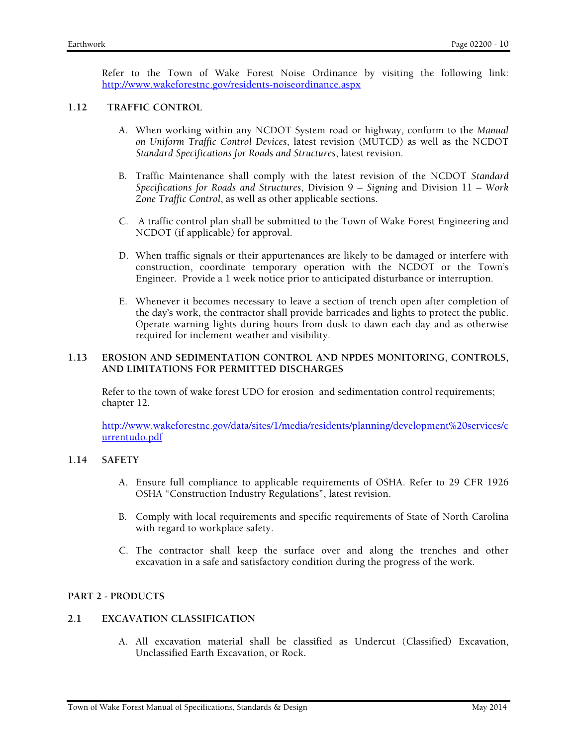Refer to the Town of Wake Forest Noise Ordinance by visiting the following link: http://www.wakeforestnc.gov/residents-noiseordinance.aspx

#### **1.12 TRAFFIC CONTROL**

- A. When working within any NCDOT System road or highway, conform to the *Manual on Uniform Traffic Control Devices*, latest revision (MUTCD) as well as the NCDOT *Standard Specifications for Roads and Structures*, latest revision.
- B. Traffic Maintenance shall comply with the latest revision of the NCDOT *Standard Specifications for Roads and Structures*, Division 9 *– Signing* and Division 11 *– Work Zone Traffic Control*, as well as other applicable sections.
- C. A traffic control plan shall be submitted to the Town of Wake Forest Engineering and NCDOT (if applicable) for approval.
- D. When traffic signals or their appurtenances are likely to be damaged or interfere with construction, coordinate temporary operation with the NCDOT or the Town's Engineer. Provide a 1 week notice prior to anticipated disturbance or interruption.
- E. Whenever it becomes necessary to leave a section of trench open after completion of the day's work, the contractor shall provide barricades and lights to protect the public. Operate warning lights during hours from dusk to dawn each day and as otherwise required for inclement weather and visibility.

### **1.13 EROSION AND SEDIMENTATION CONTROL AND NPDES MONITORING, CONTROLS, AND LIMITATIONS FOR PERMITTED DISCHARGES**

Refer to the town of wake forest UDO for erosion and sedimentation control requirements; chapter 12.

http://www.wakeforestnc.gov/data/sites/1/media/residents/planning/development%20services/c urrentudo.pdf

# **1.14 SAFETY**

- A. Ensure full compliance to applicable requirements of OSHA. Refer to 29 CFR 1926 OSHA "Construction Industry Regulations", latest revision.
- B. Comply with local requirements and specific requirements of State of North Carolina with regard to workplace safety.
- C. The contractor shall keep the surface over and along the trenches and other excavation in a safe and satisfactory condition during the progress of the work.

# **PART 2 - PRODUCTS**

# **2.1 EXCAVATION CLASSIFICATION**

A. All excavation material shall be classified as Undercut (Classified) Excavation, Unclassified Earth Excavation, or Rock**.**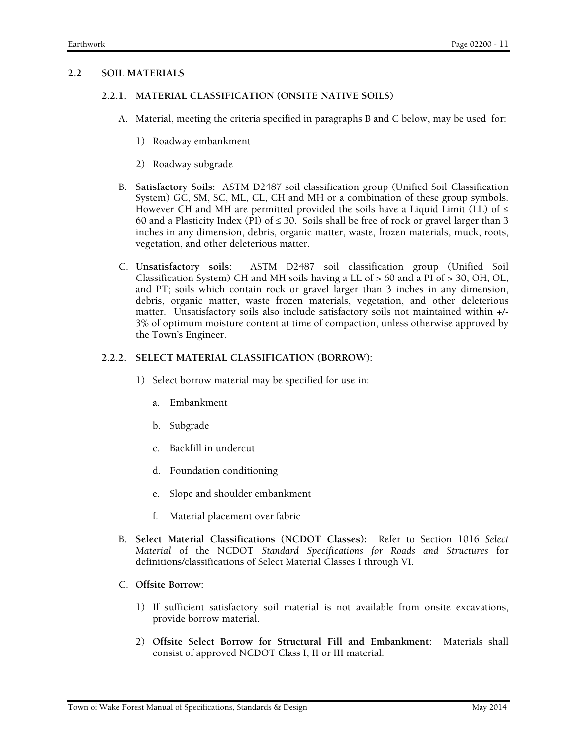# **2.2 SOIL MATERIALS**

### **2.2.1. MATERIAL CLASSIFICATION (ONSITE NATIVE SOILS)**

- A. Material, meeting the criteria specified in paragraphs B and C below, may be used for:
	- 1) Roadway embankment
	- 2) Roadway subgrade
- B. **Satisfactory Soils:** ASTM D2487 soil classification group (Unified Soil Classification System) GC, SM, SC, ML, CL, CH and MH or a combination of these group symbols. However CH and MH are permitted provided the soils have a Liquid Limit (LL) of  $\leq$ 60 and a Plasticity Index (PI) of  $\leq$  30. Soils shall be free of rock or gravel larger than 3 inches in any dimension, debris, organic matter, waste, frozen materials, muck, roots, vegetation, and other deleterious matter.
- C. **Unsatisfactory soils:** ASTM D2487 soil classification group (Unified Soil Classification System) CH and MH soils having a LL of > 60 and a PI of > 30, OH, OL, and PT; soils which contain rock or gravel larger than 3 inches in any dimension, debris, organic matter, waste frozen materials, vegetation, and other deleterious matter. Unsatisfactory soils also include satisfactory soils not maintained within +/- 3% of optimum moisture content at time of compaction, unless otherwise approved by the Town's Engineer.

# **2.2.2. SELECT MATERIAL CLASSIFICATION (BORROW):**

- 1) Select borrow material may be specified for use in:
	- a. Embankment
	- b. Subgrade
	- c. Backfill in undercut
	- d. Foundation conditioning
	- e. Slope and shoulder embankment
	- f. Material placement over fabric
- B. **Select Material Classifications (NCDOT Classes):** Refer to Section 1016 *Select Material* of the NCDOT *Standard Specifications for Roads and Structures* for definitions/classifications of Select Material Classes I through VI.
- C. **Offsite Borrow:** 
	- 1) If sufficient satisfactory soil material is not available from onsite excavations, provide borrow material.
	- 2) **Offsite Select Borrow for Structural Fill and Embankment:** Materials shall consist of approved NCDOT Class I, II or III material.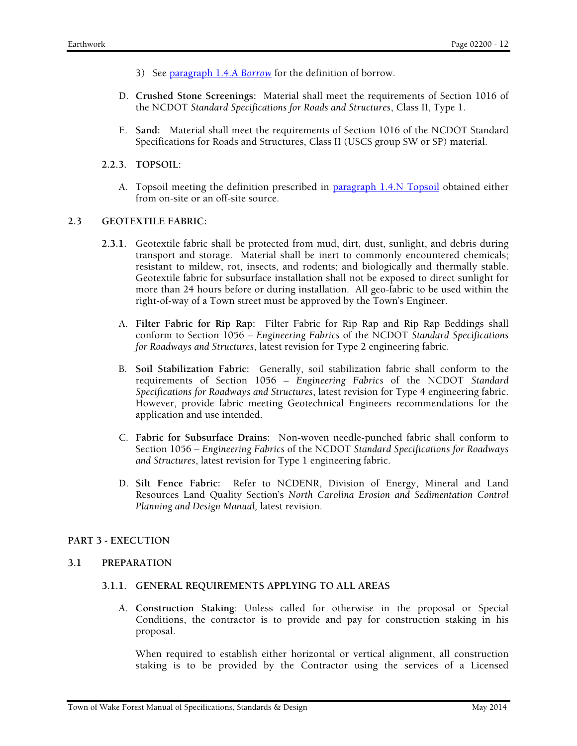- 3) See paragraph 1.4.A *Borrow* for the definition of borrow.
- D. **Crushed Stone Screenings:** Material shall meet the requirements of Section 1016 of the NCDOT *Standard Specifications for Roads and Structures*, Class II, Type 1.
- E. **Sand:** Material shall meet the requirements of Section 1016 of the NCDOT Standard Specifications for Roads and Structures, Class II (USCS group SW or SP) material.
- **2.2.3. TOPSOIL:** 
	- A. Topsoil meeting the definition prescribed in paragraph 1.4.N Topsoil obtained either from on-site or an off-site source.

#### **2.3 GEOTEXTILE FABRIC:**

- **2.3.1.** Geotextile fabric shall be protected from mud, dirt, dust, sunlight, and debris during transport and storage. Material shall be inert to commonly encountered chemicals; resistant to mildew, rot, insects, and rodents; and biologically and thermally stable. Geotextile fabric for subsurface installation shall not be exposed to direct sunlight for more than 24 hours before or during installation. All geo-fabric to be used within the right-of-way of a Town street must be approved by the Town's Engineer.
	- A. **Filter Fabric for Rip Rap:** Filter Fabric for Rip Rap and Rip Rap Beddings shall conform to Section 1056 – *Engineering Fabrics* of the NCDOT *Standard Specifications for Roadways and Structures*, latest revision for Type 2 engineering fabric.
	- B. **Soil Stabilization Fabric:** Generally, soil stabilization fabric shall conform to the requirements of Section 1056 – *Engineering Fabrics* of the NCDOT *Standard Specifications for Roadways and Structures*, latest revision for Type 4 engineering fabric. However, provide fabric meeting Geotechnical Engineers recommendations for the application and use intended.
	- C. **Fabric for Subsurface Drains:** Non-woven needle-punched fabric shall conform to Section 1056 – *Engineering Fabrics* of the NCDOT *Standard Specifications for Roadways and Structures*, latest revision for Type 1 engineering fabric.
	- D. **Silt Fence Fabric:** Refer to NCDENR, Division of Energy, Mineral and Land Resources Land Quality Section's *North Carolina Erosion and Sedimentation Control Planning and Design Manual,* latest revision.

#### **PART 3 - EXECUTION**

#### **3.1 PREPARATION**

#### **3.1.1. GENERAL REQUIREMENTS APPLYING TO ALL AREAS**

A. **Construction Staking**: Unless called for otherwise in the proposal or Special Conditions, the contractor is to provide and pay for construction staking in his proposal.

When required to establish either horizontal or vertical alignment, all construction staking is to be provided by the Contractor using the services of a Licensed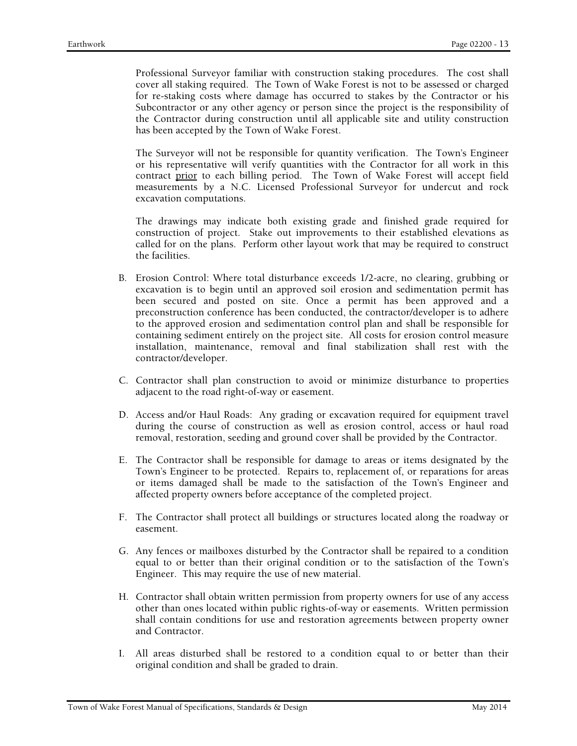Professional Surveyor familiar with construction staking procedures. The cost shall cover all staking required. The Town of Wake Forest is not to be assessed or charged for re-staking costs where damage has occurred to stakes by the Contractor or his Subcontractor or any other agency or person since the project is the responsibility of the Contractor during construction until all applicable site and utility construction has been accepted by the Town of Wake Forest.

The Surveyor will not be responsible for quantity verification. The Town's Engineer or his representative will verify quantities with the Contractor for all work in this contract prior to each billing period. The Town of Wake Forest will accept field measurements by a N.C. Licensed Professional Surveyor for undercut and rock excavation computations.

The drawings may indicate both existing grade and finished grade required for construction of project. Stake out improvements to their established elevations as called for on the plans. Perform other layout work that may be required to construct the facilities.

- B. Erosion Control: Where total disturbance exceeds 1/2-acre, no clearing, grubbing or excavation is to begin until an approved soil erosion and sedimentation permit has been secured and posted on site. Once a permit has been approved and a preconstruction conference has been conducted, the contractor/developer is to adhere to the approved erosion and sedimentation control plan and shall be responsible for containing sediment entirely on the project site. All costs for erosion control measure installation, maintenance, removal and final stabilization shall rest with the contractor/developer.
- C. Contractor shall plan construction to avoid or minimize disturbance to properties adjacent to the road right-of-way or easement.
- D. Access and/or Haul Roads: Any grading or excavation required for equipment travel during the course of construction as well as erosion control, access or haul road removal, restoration, seeding and ground cover shall be provided by the Contractor.
- E. The Contractor shall be responsible for damage to areas or items designated by the Town's Engineer to be protected. Repairs to, replacement of, or reparations for areas or items damaged shall be made to the satisfaction of the Town's Engineer and affected property owners before acceptance of the completed project.
- F. The Contractor shall protect all buildings or structures located along the roadway or easement.
- G. Any fences or mailboxes disturbed by the Contractor shall be repaired to a condition equal to or better than their original condition or to the satisfaction of the Town's Engineer. This may require the use of new material.
- H. Contractor shall obtain written permission from property owners for use of any access other than ones located within public rights-of-way or easements. Written permission shall contain conditions for use and restoration agreements between property owner and Contractor.
- I. All areas disturbed shall be restored to a condition equal to or better than their original condition and shall be graded to drain.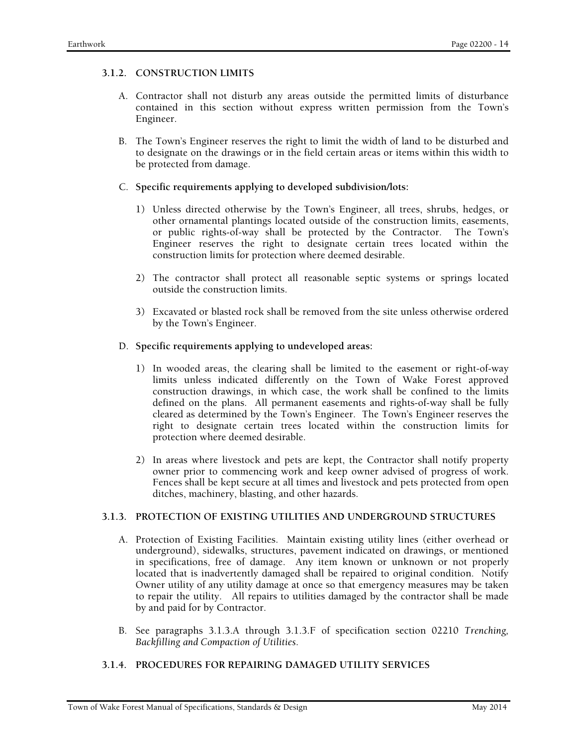### **3.1.2. CONSTRUCTION LIMITS**

- A. Contractor shall not disturb any areas outside the permitted limits of disturbance contained in this section without express written permission from the Town's Engineer.
- B. The Town's Engineer reserves the right to limit the width of land to be disturbed and to designate on the drawings or in the field certain areas or items within this width to be protected from damage.

### C. **Specific requirements applying to developed subdivision/lots:**

- 1) Unless directed otherwise by the Town's Engineer, all trees, shrubs, hedges, or other ornamental plantings located outside of the construction limits, easements, or public rights-of-way shall be protected by the Contractor. The Town's Engineer reserves the right to designate certain trees located within the construction limits for protection where deemed desirable.
- 2) The contractor shall protect all reasonable septic systems or springs located outside the construction limits.
- 3) Excavated or blasted rock shall be removed from the site unless otherwise ordered by the Town's Engineer.

#### D. **Specific requirements applying to undeveloped areas:**

- 1) In wooded areas, the clearing shall be limited to the easement or right-of-way limits unless indicated differently on the Town of Wake Forest approved construction drawings, in which case, the work shall be confined to the limits defined on the plans. All permanent easements and rights-of-way shall be fully cleared as determined by the Town's Engineer. The Town's Engineer reserves the right to designate certain trees located within the construction limits for protection where deemed desirable.
- 2) In areas where livestock and pets are kept, the Contractor shall notify property owner prior to commencing work and keep owner advised of progress of work. Fences shall be kept secure at all times and livestock and pets protected from open ditches, machinery, blasting, and other hazards.

#### **3.1.3. PROTECTION OF EXISTING UTILITIES AND UNDERGROUND STRUCTURES**

- A. Protection of Existing Facilities. Maintain existing utility lines (either overhead or underground), sidewalks, structures, pavement indicated on drawings, or mentioned in specifications, free of damage. Any item known or unknown or not properly located that is inadvertently damaged shall be repaired to original condition. Notify Owner utility of any utility damage at once so that emergency measures may be taken to repair the utility. All repairs to utilities damaged by the contractor shall be made by and paid for by Contractor.
- B. See paragraphs 3.1.3.A through 3.1.3.F of specification section 02210 *Trenching, Backfilling and Compaction of Utilities*.

# **3.1.4. PROCEDURES FOR REPAIRING DAMAGED UTILITY SERVICES**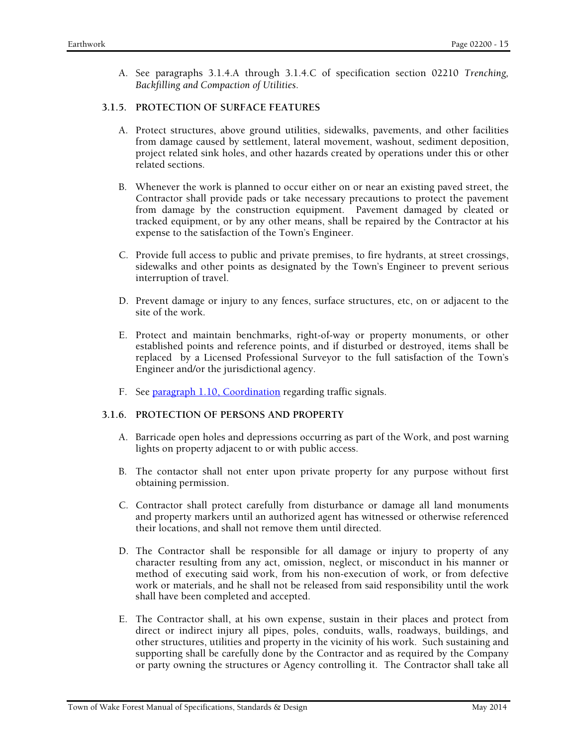A. See paragraphs 3.1.4.A through 3.1.4.C of specification section 02210 *Trenching, Backfilling and Compaction of Utilities*.

# **3.1.5. PROTECTION OF SURFACE FEATURES**

- A. Protect structures, above ground utilities, sidewalks, pavements, and other facilities from damage caused by settlement, lateral movement, washout, sediment deposition, project related sink holes, and other hazards created by operations under this or other related sections.
- B. Whenever the work is planned to occur either on or near an existing paved street, the Contractor shall provide pads or take necessary precautions to protect the pavement from damage by the construction equipment. Pavement damaged by cleated or tracked equipment, or by any other means, shall be repaired by the Contractor at his expense to the satisfaction of the Town's Engineer.
- C. Provide full access to public and private premises, to fire hydrants, at street crossings, sidewalks and other points as designated by the Town's Engineer to prevent serious interruption of travel.
- D. Prevent damage or injury to any fences, surface structures, etc, on or adjacent to the site of the work.
- E. Protect and maintain benchmarks, right-of-way or property monuments, or other established points and reference points, and if disturbed or destroyed, items shall be replaced by a Licensed Professional Surveyor to the full satisfaction of the Town's Engineer and/or the jurisdictional agency.
- F. See paragraph 1.10, Coordination regarding traffic signals.

# **3.1.6. PROTECTION OF PERSONS AND PROPERTY**

- A. Barricade open holes and depressions occurring as part of the Work, and post warning lights on property adjacent to or with public access.
- B. The contactor shall not enter upon private property for any purpose without first obtaining permission.
- C. Contractor shall protect carefully from disturbance or damage all land monuments and property markers until an authorized agent has witnessed or otherwise referenced their locations, and shall not remove them until directed.
- D. The Contractor shall be responsible for all damage or injury to property of any character resulting from any act, omission, neglect, or misconduct in his manner or method of executing said work, from his non-execution of work, or from defective work or materials, and he shall not be released from said responsibility until the work shall have been completed and accepted.
- E. The Contractor shall, at his own expense, sustain in their places and protect from direct or indirect injury all pipes, poles, conduits, walls, roadways, buildings, and other structures, utilities and property in the vicinity of his work. Such sustaining and supporting shall be carefully done by the Contractor and as required by the Company or party owning the structures or Agency controlling it. The Contractor shall take all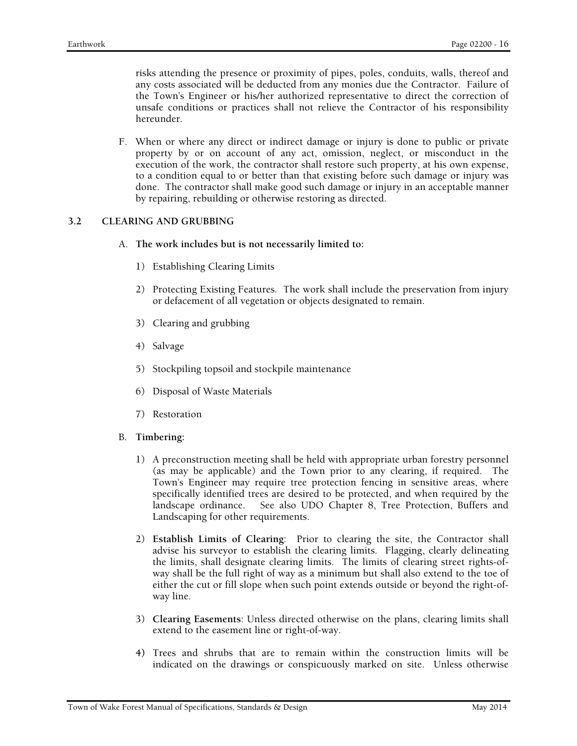risks attending the presence or proximity of pipes, poles, conduits, walls, thereof and any costs associated will be deducted from any monies due the Contractor. Failure of the Town's Engineer or his/her authorized representative to direct the correction of unsafe conditions or practices shall not relieve the Contractor of his responsibility hereunder.

F. When or where any direct or indirect damage or injury is done to public or private property by or on account of any act, omission, neglect, or misconduct in the execution of the work, the contractor shall restore such property, at his own expense, to a condition equal to or better than that existing before such damage or injury was done. The contractor shall make good such damage or injury in an acceptable manner by repairing, rebuilding or otherwise restoring as directed.

### **3.2 CLEARING AND GRUBBING**

- A. **The work includes but is not necessarily limited to:** 
	- 1) Establishing Clearing Limits
	- 2) Protecting Existing Features. The work shall include the preservation from injury or defacement of all vegetation or objects designated to remain.
	- 3) Clearing and grubbing
	- 4) Salvage
	- 5) Stockpiling topsoil and stockpile maintenance
	- 6) Disposal of Waste Materials
	- 7) Restoration
- B. **Timbering:** 
	- 1) A preconstruction meeting shall be held with appropriate urban forestry personnel (as may be applicable) and the Town prior to any clearing, if required. The Town's Engineer may require tree protection fencing in sensitive areas, where specifically identified trees are desired to be protected, and when required by the landscape ordinance. See also UDO Chapter 8, Tree Protection, Buffers and Landscaping for other requirements.
	- 2) **Establish Limits of Clearing**: Prior to clearing the site, the Contractor shall advise his surveyor to establish the clearing limits. Flagging, clearly delineating the limits, shall designate clearing limits. The limits of clearing street rights-ofway shall be the full right of way as a minimum but shall also extend to the toe of either the cut or fill slope when such point extends outside or beyond the right-ofway line.
	- 3) **Clearing Easements**: Unless directed otherwise on the plans, clearing limits shall extend to the easement line or right-of-way.
	- **4)** Trees and shrubs that are to remain within the construction limits will be indicated on the drawings or conspicuously marked on site. Unless otherwise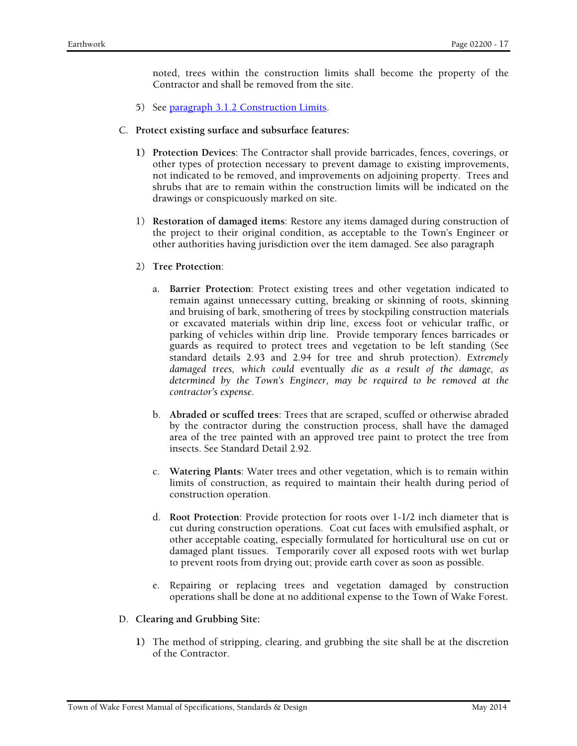noted, trees within the construction limits shall become the property of the Contractor and shall be removed from the site.

- 5) See paragraph 3.1.2 Construction Limits.
- C. **Protect existing surface and subsurface features:** 
	- **1) Protection Devices**: The Contractor shall provide barricades, fences, coverings, or other types of protection necessary to prevent damage to existing improvements, not indicated to be removed, and improvements on adjoining property. Trees and shrubs that are to remain within the construction limits will be indicated on the drawings or conspicuously marked on site.
	- 1) **Restoration of damaged items**: Restore any items damaged during construction of the project to their original condition, as acceptable to the Town's Engineer or other authorities having jurisdiction over the item damaged. See also paragraph
	- 2) **Tree Protection**:
		- a. **Barrier Protection**: Protect existing trees and other vegetation indicated to remain against unnecessary cutting, breaking or skinning of roots, skinning and bruising of bark, smothering of trees by stockpiling construction materials or excavated materials within drip line, excess foot or vehicular traffic, or parking of vehicles within drip line. Provide temporary fences barricades or guards as required to protect trees and vegetation to be left standing (See standard details 2.93 and 2.94 for tree and shrub protection)*. Extremely damaged trees, which could* eventually *die as a result of the damage, as determined by the Town's Engineer, may be required to be removed at the contractor's expense.*
		- b. **Abraded or scuffed trees**: Trees that are scraped, scuffed or otherwise abraded by the contractor during the construction process, shall have the damaged area of the tree painted with an approved tree paint to protect the tree from insects. See Standard Detail 2.92.
		- c. **Watering Plants**: Water trees and other vegetation, which is to remain within limits of construction, as required to maintain their health during period of construction operation.
		- d. **Root Protection**: Provide protection for roots over 1-1/2 inch diameter that is cut during construction operations. Coat cut faces with emulsified asphalt, or other acceptable coating, especially formulated for horticultural use on cut or damaged plant tissues. Temporarily cover all exposed roots with wet burlap to prevent roots from drying out; provide earth cover as soon as possible.
		- e. Repairing or replacing trees and vegetation damaged by construction operations shall be done at no additional expense to the Town of Wake Forest.
- D. **Clearing and Grubbing Site:** 
	- **1)** The method of stripping, clearing, and grubbing the site shall be at the discretion of the Contractor.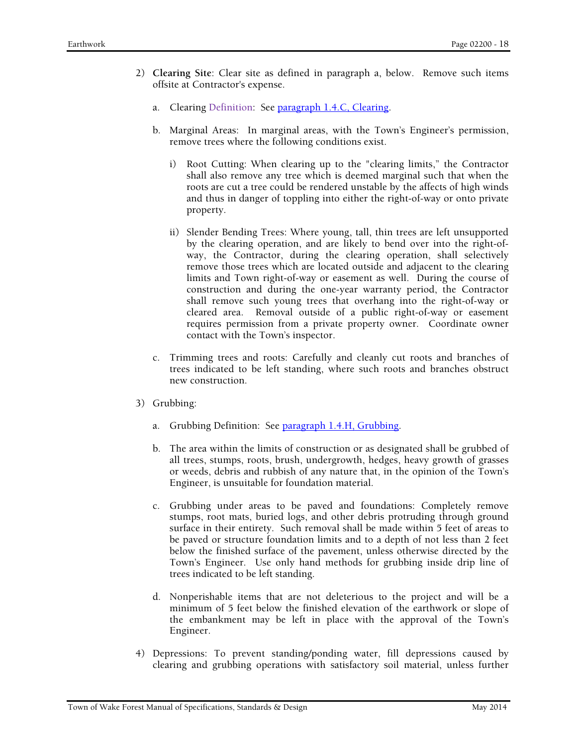- 2) **Clearing Site**: Clear site as defined in paragraph a, below. Remove such items offsite at Contractor's expense.
	- a. Clearing Definition: See paragraph 1.4.C, Clearing.
	- b. Marginal Areas: In marginal areas, with the Town's Engineer's permission, remove trees where the following conditions exist.
		- i) Root Cutting: When clearing up to the "clearing limits," the Contractor shall also remove any tree which is deemed marginal such that when the roots are cut a tree could be rendered unstable by the affects of high winds and thus in danger of toppling into either the right-of-way or onto private property.
		- ii) Slender Bending Trees: Where young, tall, thin trees are left unsupported by the clearing operation, and are likely to bend over into the right-ofway, the Contractor, during the clearing operation, shall selectively remove those trees which are located outside and adjacent to the clearing limits and Town right-of-way or easement as well. During the course of construction and during the one-year warranty period, the Contractor shall remove such young trees that overhang into the right-of-way or cleared area. Removal outside of a public right-of-way or easement requires permission from a private property owner. Coordinate owner contact with the Town's inspector.
	- c. Trimming trees and roots: Carefully and cleanly cut roots and branches of trees indicated to be left standing, where such roots and branches obstruct new construction.
- 3) Grubbing:
	- a. Grubbing Definition: See paragraph 1.4.H, Grubbing.
	- b. The area within the limits of construction or as designated shall be grubbed of all trees, stumps, roots, brush, undergrowth, hedges, heavy growth of grasses or weeds, debris and rubbish of any nature that, in the opinion of the Town's Engineer, is unsuitable for foundation material.
	- c. Grubbing under areas to be paved and foundations: Completely remove stumps, root mats, buried logs, and other debris protruding through ground surface in their entirety. Such removal shall be made within 5 feet of areas to be paved or structure foundation limits and to a depth of not less than 2 feet below the finished surface of the pavement, unless otherwise directed by the Town's Engineer. Use only hand methods for grubbing inside drip line of trees indicated to be left standing.
	- d. Nonperishable items that are not deleterious to the project and will be a minimum of 5 feet below the finished elevation of the earthwork or slope of the embankment may be left in place with the approval of the Town's Engineer.
- 4) Depressions: To prevent standing/ponding water, fill depressions caused by clearing and grubbing operations with satisfactory soil material, unless further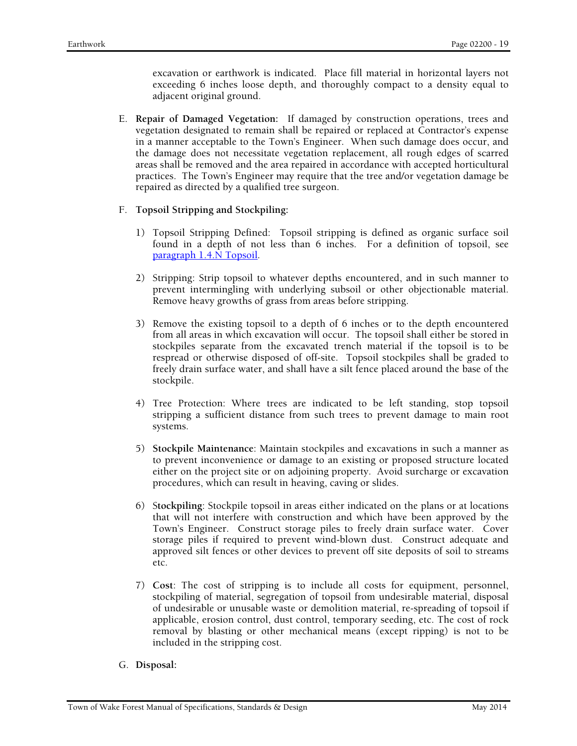excavation or earthwork is indicated. Place fill material in horizontal layers not exceeding 6 inches loose depth, and thoroughly compact to a density equal to adjacent original ground.

E. **Repair of Damaged Vegetation:** If damaged by construction operations, trees and vegetation designated to remain shall be repaired or replaced at Contractor's expense in a manner acceptable to the Town's Engineer. When such damage does occur, and the damage does not necessitate vegetation replacement, all rough edges of scarred areas shall be removed and the area repaired in accordance with accepted horticultural practices. The Town's Engineer may require that the tree and/or vegetation damage be repaired as directed by a qualified tree surgeon.

# F. **Topsoil Stripping and Stockpiling:**

- 1) Topsoil Stripping Defined: Topsoil stripping is defined as organic surface soil found in a depth of not less than 6 inches. For a definition of topsoil, see paragraph 1.4.N Topsoil.
- 2) Stripping: Strip topsoil to whatever depths encountered, and in such manner to prevent intermingling with underlying subsoil or other objectionable material. Remove heavy growths of grass from areas before stripping.
- 3) Remove the existing topsoil to a depth of 6 inches or to the depth encountered from all areas in which excavation will occur. The topsoil shall either be stored in stockpiles separate from the excavated trench material if the topsoil is to be respread or otherwise disposed of off-site. Topsoil stockpiles shall be graded to freely drain surface water, and shall have a silt fence placed around the base of the stockpile.
- 4) Tree Protection: Where trees are indicated to be left standing, stop topsoil stripping a sufficient distance from such trees to prevent damage to main root systems.
- 5) **Stockpile Maintenance**: Maintain stockpiles and excavations in such a manner as to prevent inconvenience or damage to an existing or proposed structure located either on the project site or on adjoining property. Avoid surcharge or excavation procedures, which can result in heaving, caving or slides.
- 6) S**tockpiling**: Stockpile topsoil in areas either indicated on the plans or at locations that will not interfere with construction and which have been approved by the Town's Engineer. Construct storage piles to freely drain surface water. Cover storage piles if required to prevent wind-blown dust. Construct adequate and approved silt fences or other devices to prevent off site deposits of soil to streams etc.
- 7) **Cost**: The cost of stripping is to include all costs for equipment, personnel, stockpiling of material, segregation of topsoil from undesirable material, disposal of undesirable or unusable waste or demolition material, re-spreading of topsoil if applicable, erosion control, dust control, temporary seeding, etc. The cost of rock removal by blasting or other mechanical means (except ripping) is not to be included in the stripping cost.

# G. **Disposal:**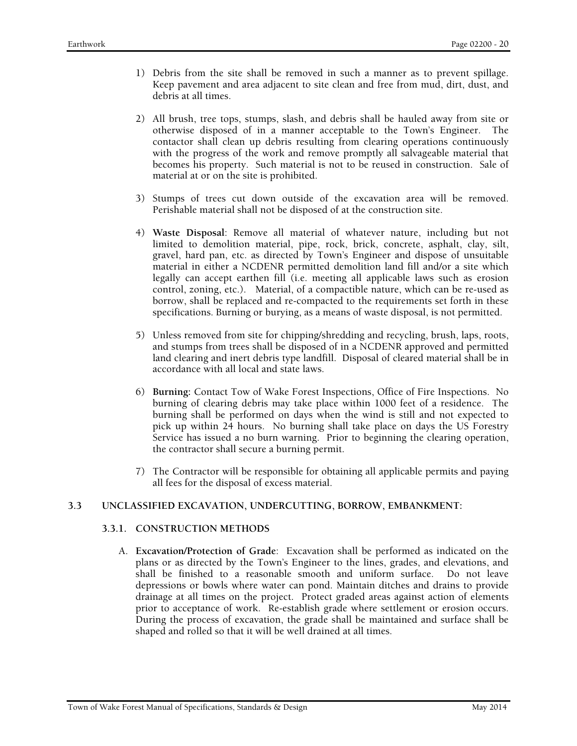- 1) Debris from the site shall be removed in such a manner as to prevent spillage. Keep pavement and area adjacent to site clean and free from mud, dirt, dust, and debris at all times.
- 2) All brush, tree tops, stumps, slash, and debris shall be hauled away from site or otherwise disposed of in a manner acceptable to the Town's Engineer. The contactor shall clean up debris resulting from clearing operations continuously with the progress of the work and remove promptly all salvageable material that becomes his property. Such material is not to be reused in construction. Sale of material at or on the site is prohibited.
- 3) Stumps of trees cut down outside of the excavation area will be removed. Perishable material shall not be disposed of at the construction site.
- 4) **Waste Disposal**: Remove all material of whatever nature, including but not limited to demolition material, pipe, rock, brick, concrete, asphalt, clay, silt, gravel, hard pan, etc. as directed by Town's Engineer and dispose of unsuitable material in either a NCDENR permitted demolition land fill and/or a site which legally can accept earthen fill (i.e. meeting all applicable laws such as erosion control, zoning, etc.). Material, of a compactible nature, which can be re-used as borrow, shall be replaced and re-compacted to the requirements set forth in these specifications. Burning or burying, as a means of waste disposal, is not permitted.
- 5) Unless removed from site for chipping/shredding and recycling, brush, laps, roots, and stumps from trees shall be disposed of in a NCDENR approved and permitted land clearing and inert debris type landfill. Disposal of cleared material shall be in accordance with all local and state laws.
- 6) **Burning:** Contact Tow of Wake Forest Inspections, Office of Fire Inspections. No burning of clearing debris may take place within 1000 feet of a residence. The burning shall be performed on days when the wind is still and not expected to pick up within 24 hours. No burning shall take place on days the US Forestry Service has issued a no burn warning. Prior to beginning the clearing operation, the contractor shall secure a burning permit.
- 7) The Contractor will be responsible for obtaining all applicable permits and paying all fees for the disposal of excess material.

# **3.3 UNCLASSIFIED EXCAVATION, UNDERCUTTING, BORROW, EMBANKMENT:**

# **3.3.1. CONSTRUCTION METHODS**

A. **Excavation/Protection of Grade**: Excavation shall be performed as indicated on the plans or as directed by the Town's Engineer to the lines, grades, and elevations, and shall be finished to a reasonable smooth and uniform surface. Do not leave depressions or bowls where water can pond. Maintain ditches and drains to provide drainage at all times on the project. Protect graded areas against action of elements prior to acceptance of work. Re-establish grade where settlement or erosion occurs. During the process of excavation, the grade shall be maintained and surface shall be shaped and rolled so that it will be well drained at all times.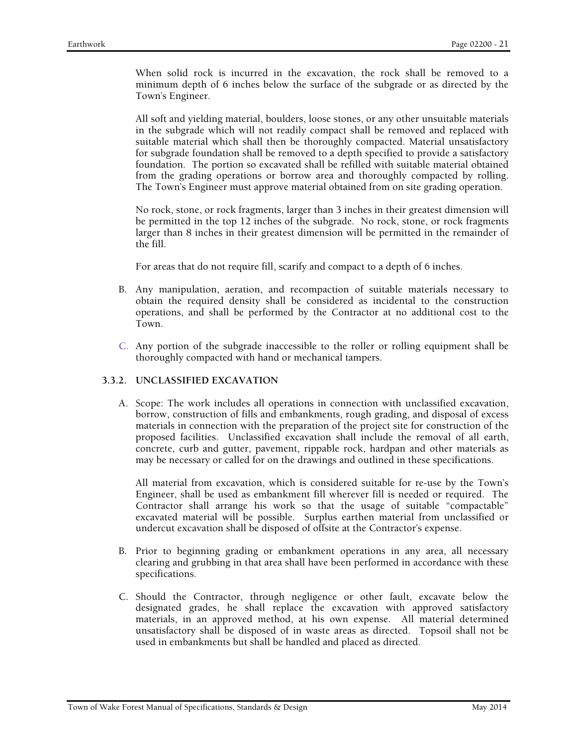When solid rock is incurred in the excavation, the rock shall be removed to a minimum depth of 6 inches below the surface of the subgrade or as directed by the Town's Engineer.

All soft and yielding material, boulders, loose stones, or any other unsuitable materials in the subgrade which will not readily compact shall be removed and replaced with suitable material which shall then be thoroughly compacted. Material unsatisfactory for subgrade foundation shall be removed to a depth specified to provide a satisfactory foundation. The portion so excavated shall be refilled with suitable material obtained from the grading operations or borrow area and thoroughly compacted by rolling. The Town's Engineer must approve material obtained from on site grading operation.

No rock, stone, or rock fragments, larger than 3 inches in their greatest dimension will be permitted in the top 12 inches of the subgrade. No rock, stone, or rock fragments larger than 8 inches in their greatest dimension will be permitted in the remainder of the fill.

For areas that do not require fill, scarify and compact to a depth of 6 inches.

- B. Any manipulation, aeration, and recompaction of suitable materials necessary to obtain the required density shall be considered as incidental to the construction operations, and shall be performed by the Contractor at no additional cost to the Town.
- C. Any portion of the subgrade inaccessible to the roller or rolling equipment shall be thoroughly compacted with hand or mechanical tampers.

# **3.3.2. UNCLASSIFIED EXCAVATION**

A. Scope: The work includes all operations in connection with unclassified excavation, borrow, construction of fills and embankments, rough grading, and disposal of excess materials in connection with the preparation of the project site for construction of the proposed facilities. Unclassified excavation shall include the removal of all earth, concrete, curb and gutter, pavement, rippable rock, hardpan and other materials as may be necessary or called for on the drawings and outlined in these specifications.

All material from excavation, which is considered suitable for re-use by the Town's Engineer, shall be used as embankment fill wherever fill is needed or required. The Contractor shall arrange his work so that the usage of suitable "compactable" excavated material will be possible. Surplus earthen material from unclassified or undercut excavation shall be disposed of offsite at the Contractor's expense.

- B. Prior to beginning grading or embankment operations in any area, all necessary clearing and grubbing in that area shall have been performed in accordance with these specifications.
- C. Should the Contractor, through negligence or other fault, excavate below the designated grades, he shall replace the excavation with approved satisfactory materials, in an approved method, at his own expense. All material determined unsatisfactory shall be disposed of in waste areas as directed. Topsoil shall not be used in embankments but shall be handled and placed as directed.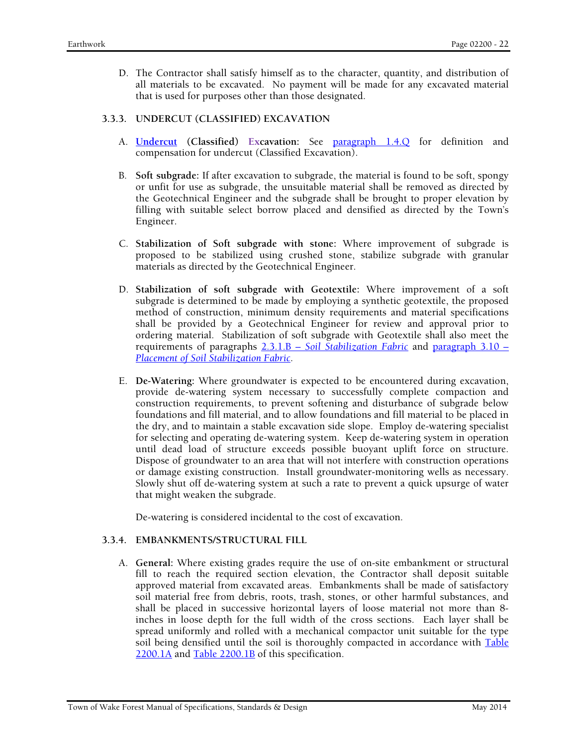D. The Contractor shall satisfy himself as to the character, quantity, and distribution of all materials to be excavated. No payment will be made for any excavated material that is used for purposes other than those designated.

# **3.3.3. UNDERCUT (CLASSIFIED) EXCAVATION**

- A. **Undercut (Classified) Excavation:** See paragraph 1.4.Q for definition and compensation for undercut (Classified Excavation).
- B. **Soft subgrade:** If after excavation to subgrade, the material is found to be soft, spongy or unfit for use as subgrade, the unsuitable material shall be removed as directed by the Geotechnical Engineer and the subgrade shall be brought to proper elevation by filling with suitable select borrow placed and densified as directed by the Town's Engineer.
- C. **Stabilization of Soft subgrade with stone:** Where improvement of subgrade is proposed to be stabilized using crushed stone, stabilize subgrade with granular materials as directed by the Geotechnical Engineer.
- D. **Stabilization of soft subgrade with Geotextile:** Where improvement of a soft subgrade is determined to be made by employing a synthetic geotextile, the proposed method of construction, minimum density requirements and material specifications shall be provided by a Geotechnical Engineer for review and approval prior to ordering material. Stabilization of soft subgrade with Geotextile shall also meet the requirements of paragraphs 2.3.1.B – *Soil Stabilization Fabric* and paragraph 3.10 – *Placement of Soil Stabilization Fabric*.
- E. **De-Watering:** Where groundwater is expected to be encountered during excavation, provide de-watering system necessary to successfully complete compaction and construction requirements, to prevent softening and disturbance of subgrade below foundations and fill material, and to allow foundations and fill material to be placed in the dry, and to maintain a stable excavation side slope. Employ de-watering specialist for selecting and operating de-watering system. Keep de-watering system in operation until dead load of structure exceeds possible buoyant uplift force on structure. Dispose of groundwater to an area that will not interfere with construction operations or damage existing construction. Install groundwater-monitoring wells as necessary. Slowly shut off de-watering system at such a rate to prevent a quick upsurge of water that might weaken the subgrade.

De-watering is considered incidental to the cost of excavation.

# **3.3.4. EMBANKMENTS/STRUCTURAL FILL**

A. **General:** Where existing grades require the use of on-site embankment or structural fill to reach the required section elevation, the Contractor shall deposit suitable approved material from excavated areas. Embankments shall be made of satisfactory soil material free from debris, roots, trash, stones, or other harmful substances, and shall be placed in successive horizontal layers of loose material not more than 8 inches in loose depth for the full width of the cross sections. Each layer shall be spread uniformly and rolled with a mechanical compactor unit suitable for the type soil being densified until the soil is thoroughly compacted in accordance with Table 2200.1A and Table 2200.1B of this specification.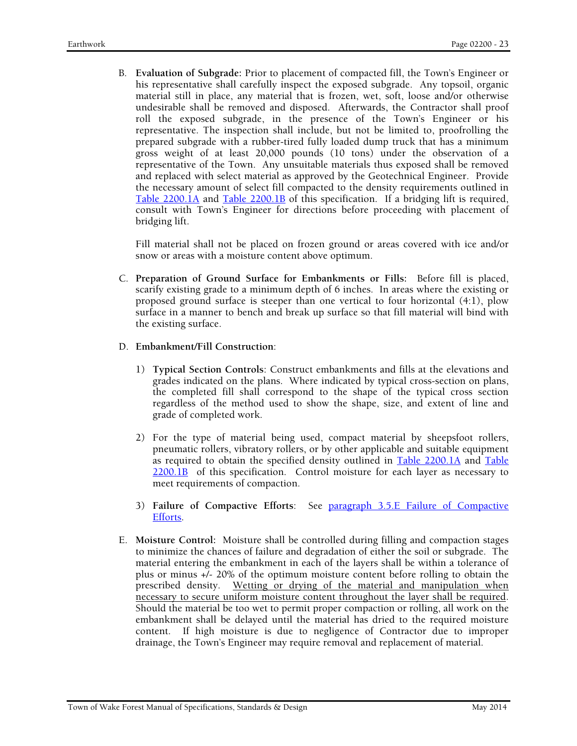B. **Evaluation of Subgrade:** Prior to placement of compacted fill, the Town's Engineer or his representative shall carefully inspect the exposed subgrade. Any topsoil, organic material still in place, any material that is frozen, wet, soft, loose and/or otherwise undesirable shall be removed and disposed. Afterwards, the Contractor shall proof roll the exposed subgrade, in the presence of the Town's Engineer or his representative. The inspection shall include, but not be limited to, proofrolling the prepared subgrade with a rubber-tired fully loaded dump truck that has a minimum gross weight of at least 20,000 pounds (10 tons) under the observation of a representative of the Town. Any unsuitable materials thus exposed shall be removed and replaced with select material as approved by the Geotechnical Engineer. Provide the necessary amount of select fill compacted to the density requirements outlined in Table 2200.1A and Table 2200.1B of this specification. If a bridging lift is required, consult with Town's Engineer for directions before proceeding with placement of bridging lift.

Fill material shall not be placed on frozen ground or areas covered with ice and/or snow or areas with a moisture content above optimum.

C. **Preparation of Ground Surface for Embankments or Fills:** Before fill is placed, scarify existing grade to a minimum depth of 6 inches. In areas where the existing or proposed ground surface is steeper than one vertical to four horizontal (4:1), plow surface in a manner to bench and break up surface so that fill material will bind with the existing surface.

# D. **Embankment/Fill Construction**:

- 1) **Typical Section Controls**: Construct embankments and fills at the elevations and grades indicated on the plans. Where indicated by typical cross-section on plans, the completed fill shall correspond to the shape of the typical cross section regardless of the method used to show the shape, size, and extent of line and grade of completed work.
- 2) For the type of material being used, compact material by sheepsfoot rollers, pneumatic rollers, vibratory rollers, or by other applicable and suitable equipment as required to obtain the specified density outlined in Table 2200.1A and Table 2200.1B of this specification. Control moisture for each layer as necessary to meet requirements of compaction.
- 3) **Failure of Compactive Efforts**: See paragraph 3.5.E Failure of Compactive Efforts.
- E. **Moisture Control:** Moisture shall be controlled during filling and compaction stages to minimize the chances of failure and degradation of either the soil or subgrade. The material entering the embankment in each of the layers shall be within a tolerance of plus or minus +/- 20% of the optimum moisture content before rolling to obtain the prescribed density. Wetting or drying of the material and manipulation when necessary to secure uniform moisture content throughout the layer shall be required. Should the material be too wet to permit proper compaction or rolling, all work on the embankment shall be delayed until the material has dried to the required moisture content. If high moisture is due to negligence of Contractor due to improper drainage, the Town's Engineer may require removal and replacement of material.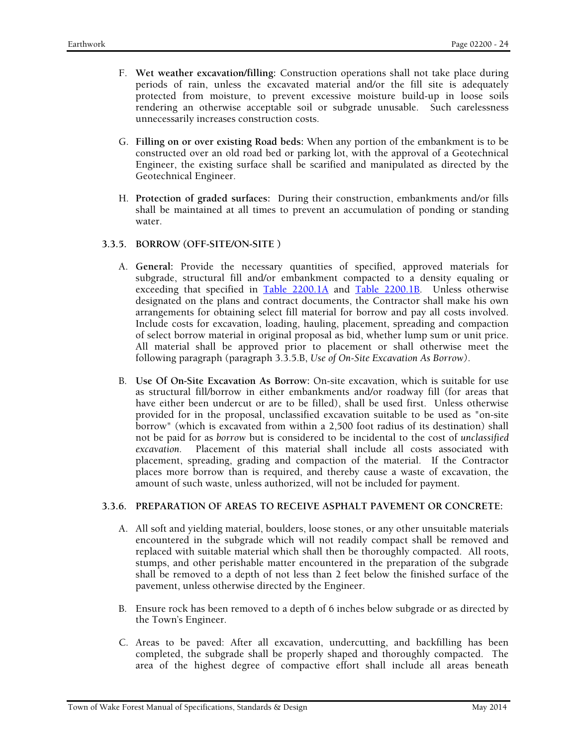- F. **Wet weather excavation/filling:** Construction operations shall not take place during periods of rain, unless the excavated material and/or the fill site is adequately protected from moisture, to prevent excessive moisture build-up in loose soils rendering an otherwise acceptable soil or subgrade unusable. Such carelessness unnecessarily increases construction costs.
- G. **Filling on or over existing Road beds:** When any portion of the embankment is to be constructed over an old road bed or parking lot, with the approval of a Geotechnical Engineer, the existing surface shall be scarified and manipulated as directed by the Geotechnical Engineer.
- H. **Protection of graded surfaces:** During their construction, embankments and/or fills shall be maintained at all times to prevent an accumulation of ponding or standing water.

### **3.3.5. BORROW (OFF-SITE/ON-SITE )**

- A. **General:** Provide the necessary quantities of specified, approved materials for subgrade, structural fill and/or embankment compacted to a density equaling or exceeding that specified in Table 2200.1A and Table 2200.1B. Unless otherwise designated on the plans and contract documents, the Contractor shall make his own arrangements for obtaining select fill material for borrow and pay all costs involved. Include costs for excavation, loading, hauling, placement, spreading and compaction of select borrow material in original proposal as bid, whether lump sum or unit price. All material shall be approved prior to placement or shall otherwise meet the following paragraph (paragraph 3.3.5.B, *Use of On-Site Excavation As Borrow)*.
- B. **Use Of On-Site Excavation As Borrow:** On-site excavation, which is suitable for use as structural fill/borrow in either embankments and/or roadway fill (for areas that have either been undercut or are to be filled), shall be used first. Unless otherwise provided for in the proposal, unclassified excavation suitable to be used as "on-site borrow" (which is excavated from within a 2,500 foot radius of its destination) shall not be paid for as *borrow* but is considered to be incidental to the cost of *unclassified excavation.* Placement of this material shall include all costs associated with placement, spreading, grading and compaction of the material. If the Contractor places more borrow than is required, and thereby cause a waste of excavation, the amount of such waste, unless authorized, will not be included for payment.

#### **3.3.6. PREPARATION OF AREAS TO RECEIVE ASPHALT PAVEMENT OR CONCRETE:**

- A. All soft and yielding material, boulders, loose stones, or any other unsuitable materials encountered in the subgrade which will not readily compact shall be removed and replaced with suitable material which shall then be thoroughly compacted. All roots, stumps, and other perishable matter encountered in the preparation of the subgrade shall be removed to a depth of not less than 2 feet below the finished surface of the pavement, unless otherwise directed by the Engineer.
- B. Ensure rock has been removed to a depth of 6 inches below subgrade or as directed by the Town's Engineer.
- C. Areas to be paved: After all excavation, undercutting, and backfilling has been completed, the subgrade shall be properly shaped and thoroughly compacted. The area of the highest degree of compactive effort shall include all areas beneath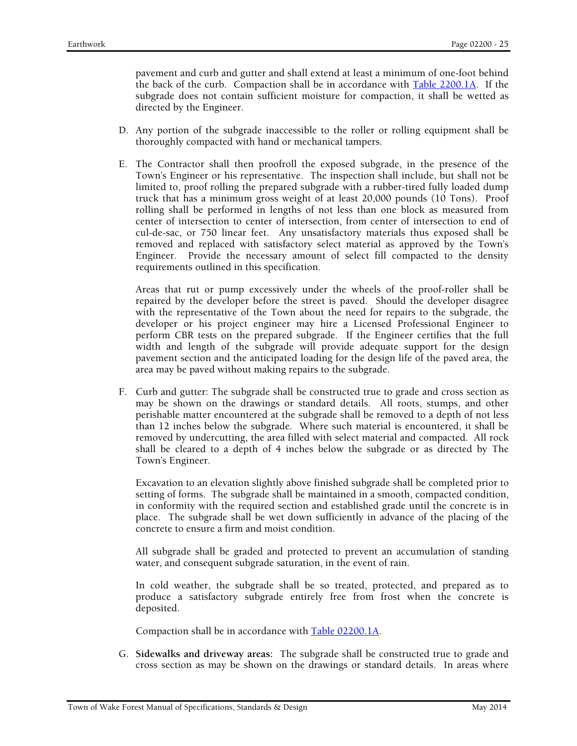pavement and curb and gutter and shall extend at least a minimum of one-foot behind the back of the curb. Compaction shall be in accordance with Table 2200.1A. If the subgrade does not contain sufficient moisture for compaction, it shall be wetted as directed by the Engineer.

- D. Any portion of the subgrade inaccessible to the roller or rolling equipment shall be thoroughly compacted with hand or mechanical tampers.
- E. The Contractor shall then proofroll the exposed subgrade, in the presence of the Town's Engineer or his representative. The inspection shall include, but shall not be limited to, proof rolling the prepared subgrade with a rubber-tired fully loaded dump truck that has a minimum gross weight of at least 20,000 pounds (10 Tons). Proof rolling shall be performed in lengths of not less than one block as measured from center of intersection to center of intersection, from center of intersection to end of cul-de-sac, or 750 linear feet. Any unsatisfactory materials thus exposed shall be removed and replaced with satisfactory select material as approved by the Town's Engineer. Provide the necessary amount of select fill compacted to the density requirements outlined in this specification.

Areas that rut or pump excessively under the wheels of the proof-roller shall be repaired by the developer before the street is paved. Should the developer disagree with the representative of the Town about the need for repairs to the subgrade, the developer or his project engineer may hire a Licensed Professional Engineer to perform CBR tests on the prepared subgrade. If the Engineer certifies that the full width and length of the subgrade will provide adequate support for the design pavement section and the anticipated loading for the design life of the paved area, the area may be paved without making repairs to the subgrade.

F. Curb and gutter: The subgrade shall be constructed true to grade and cross section as may be shown on the drawings or standard details. All roots, stumps, and other perishable matter encountered at the subgrade shall be removed to a depth of not less than 12 inches below the subgrade. Where such material is encountered, it shall be removed by undercutting, the area filled with select material and compacted. All rock shall be cleared to a depth of 4 inches below the subgrade or as directed by The Town's Engineer.

Excavation to an elevation slightly above finished subgrade shall be completed prior to setting of forms. The subgrade shall be maintained in a smooth, compacted condition, in conformity with the required section and established grade until the concrete is in place. The subgrade shall be wet down sufficiently in advance of the placing of the concrete to ensure a firm and moist condition.

All subgrade shall be graded and protected to prevent an accumulation of standing water, and consequent subgrade saturation, in the event of rain.

In cold weather, the subgrade shall be so treated, protected, and prepared as to produce a satisfactory subgrade entirely free from frost when the concrete is deposited.

Compaction shall be in accordance with Table 02200.1A.

G. **Sidewalks and driveway areas:** The subgrade shall be constructed true to grade and cross section as may be shown on the drawings or standard details. In areas where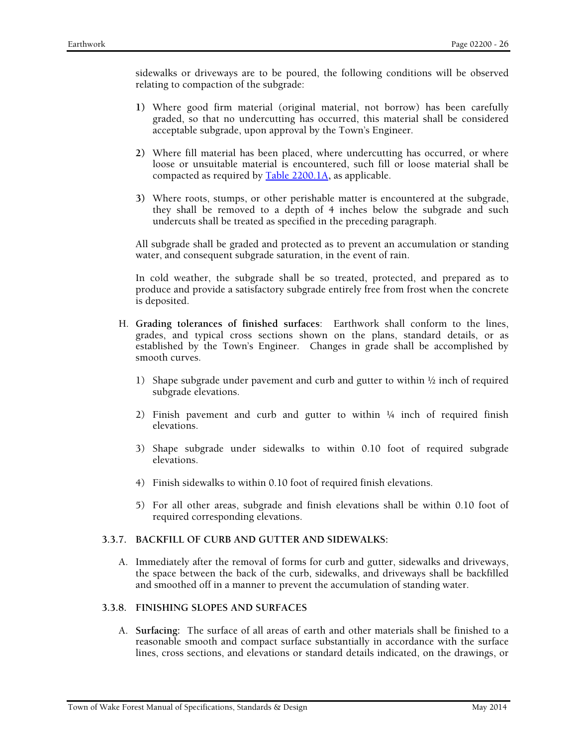sidewalks or driveways are to be poured, the following conditions will be observed relating to compaction of the subgrade:

- **1)** Where good firm material (original material, not borrow) has been carefully graded, so that no undercutting has occurred, this material shall be considered acceptable subgrade, upon approval by the Town's Engineer.
- **2)** Where fill material has been placed, where undercutting has occurred, or where loose or unsuitable material is encountered, such fill or loose material shall be compacted as required by Table 2200.1A**,** as applicable.
- **3)** Where roots, stumps, or other perishable matter is encountered at the subgrade, they shall be removed to a depth of 4 inches below the subgrade and such undercuts shall be treated as specified in the preceding paragraph.

All subgrade shall be graded and protected as to prevent an accumulation or standing water, and consequent subgrade saturation, in the event of rain.

In cold weather, the subgrade shall be so treated, protected, and prepared as to produce and provide a satisfactory subgrade entirely free from frost when the concrete is deposited.

- H. **Grading tolerances of finished surfaces**: Earthwork shall conform to the lines, grades, and typical cross sections shown on the plans, standard details, or as established by the Town's Engineer. Changes in grade shall be accomplished by smooth curves.
	- 1) Shape subgrade under pavement and curb and gutter to within  $\frac{1}{2}$  inch of required subgrade elevations.
	- 2) Finish pavement and curb and gutter to within  $\frac{1}{4}$  inch of required finish elevations.
	- 3) Shape subgrade under sidewalks to within 0.10 foot of required subgrade elevations.
	- 4) Finish sidewalks to within 0.10 foot of required finish elevations.
	- 5) For all other areas, subgrade and finish elevations shall be within 0.10 foot of required corresponding elevations.

#### **3.3.7. BACKFILL OF CURB AND GUTTER AND SIDEWALKS:**

A. Immediately after the removal of forms for curb and gutter, sidewalks and driveways, the space between the back of the curb, sidewalks, and driveways shall be backfilled and smoothed off in a manner to prevent the accumulation of standing water.

### **3.3.8. FINISHING SLOPES AND SURFACES**

A. **Surfacing:** The surface of all areas of earth and other materials shall be finished to a reasonable smooth and compact surface substantially in accordance with the surface lines, cross sections, and elevations or standard details indicated, on the drawings, or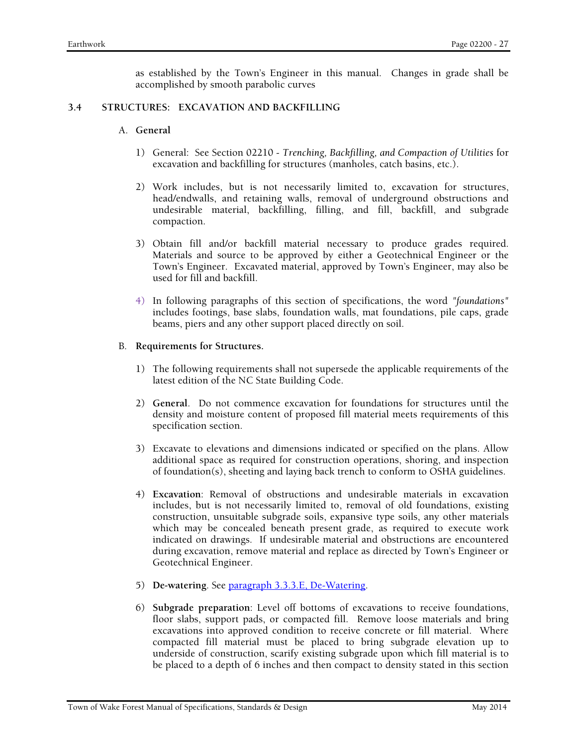as established by the Town's Engineer in this manual. Changes in grade shall be accomplished by smooth parabolic curves

#### **3.4 STRUCTURES: EXCAVATION AND BACKFILLING**

#### A. **General**

- 1) General: See Section 02210 *Trenching, Backfilling, and Compaction of Utilities* for excavation and backfilling for structures (manholes, catch basins, etc.).
- 2) Work includes, but is not necessarily limited to, excavation for structures, head/endwalls, and retaining walls, removal of underground obstructions and undesirable material, backfilling, filling, and fill, backfill, and subgrade compaction.
- 3) Obtain fill and/or backfill material necessary to produce grades required. Materials and source to be approved by either a Geotechnical Engineer or the Town's Engineer. Excavated material, approved by Town's Engineer, may also be used for fill and backfill.
- 4) In following paragraphs of this section of specifications, the word *"foundations"* includes footings, base slabs, foundation walls, mat foundations, pile caps, grade beams, piers and any other support placed directly on soil.

### B. **Requirements for Structures.**

- 1) The following requirements shall not supersede the applicable requirements of the latest edition of the NC State Building Code.
- 2) **General**. Do not commence excavation for foundations for structures until the density and moisture content of proposed fill material meets requirements of this specification section.
- 3) Excavate to elevations and dimensions indicated or specified on the plans. Allow additional space as required for construction operations, shoring, and inspection of foundation(s), sheeting and laying back trench to conform to OSHA guidelines.
- 4) **Excavation**: Removal of obstructions and undesirable materials in excavation includes, but is not necessarily limited to, removal of old foundations, existing construction, unsuitable subgrade soils, expansive type soils, any other materials which may be concealed beneath present grade, as required to execute work indicated on drawings. If undesirable material and obstructions are encountered during excavation, remove material and replace as directed by Town's Engineer or Geotechnical Engineer.
- 5) **De-watering**. See paragraph 3.3.3.E, De-Watering.
- 6) **Subgrade preparation**: Level off bottoms of excavations to receive foundations, floor slabs, support pads, or compacted fill. Remove loose materials and bring excavations into approved condition to receive concrete or fill material. Where compacted fill material must be placed to bring subgrade elevation up to underside of construction, scarify existing subgrade upon which fill material is to be placed to a depth of 6 inches and then compact to density stated in this section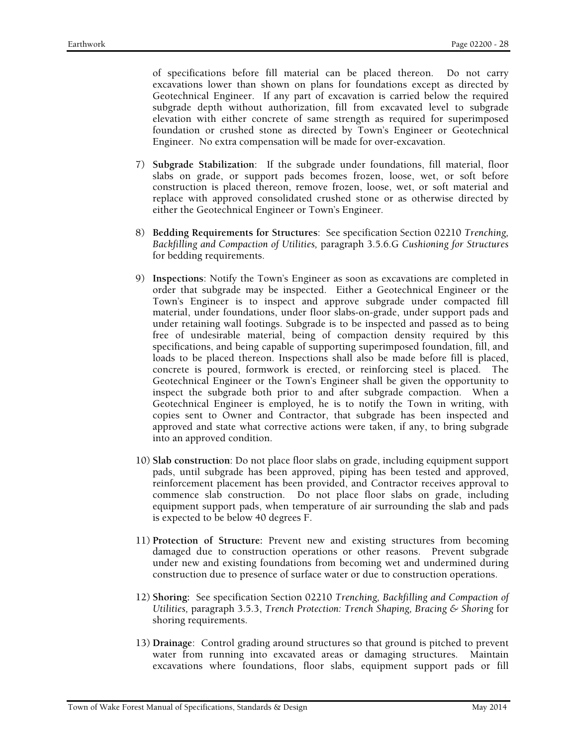of specifications before fill material can be placed thereon. Do not carry excavations lower than shown on plans for foundations except as directed by Geotechnical Engineer. If any part of excavation is carried below the required subgrade depth without authorization, fill from excavated level to subgrade elevation with either concrete of same strength as required for superimposed foundation or crushed stone as directed by Town's Engineer or Geotechnical Engineer. No extra compensation will be made for over-excavation.

- 7) **Subgrade Stabilization**: If the subgrade under foundations, fill material, floor slabs on grade, or support pads becomes frozen, loose, wet, or soft before construction is placed thereon, remove frozen, loose, wet, or soft material and replace with approved consolidated crushed stone or as otherwise directed by either the Geotechnical Engineer or Town's Engineer.
- 8) **Bedding Requirements for Structures**: See specification Section 02210 *Trenching, Backfilling and Compaction of Utilities,* paragraph 3.5.6.G *Cushioning for Structures* for bedding requirements.
- 9) **Inspections**: Notify the Town's Engineer as soon as excavations are completed in order that subgrade may be inspected. Either a Geotechnical Engineer or the Town's Engineer is to inspect and approve subgrade under compacted fill material, under foundations, under floor slabs-on-grade, under support pads and under retaining wall footings. Subgrade is to be inspected and passed as to being free of undesirable material, being of compaction density required by this specifications, and being capable of supporting superimposed foundation, fill, and loads to be placed thereon. Inspections shall also be made before fill is placed, concrete is poured, formwork is erected, or reinforcing steel is placed. The Geotechnical Engineer or the Town's Engineer shall be given the opportunity to inspect the subgrade both prior to and after subgrade compaction. When a Geotechnical Engineer is employed, he is to notify the Town in writing, with copies sent to Owner and Contractor, that subgrade has been inspected and approved and state what corrective actions were taken, if any, to bring subgrade into an approved condition.
- 10) **Slab construction**: Do not place floor slabs on grade, including equipment support pads, until subgrade has been approved, piping has been tested and approved, reinforcement placement has been provided, and Contractor receives approval to commence slab construction. Do not place floor slabs on grade, including equipment support pads, when temperature of air surrounding the slab and pads is expected to be below 40 degrees F.
- 11) **Protection of Structure:** Prevent new and existing structures from becoming damaged due to construction operations or other reasons. Prevent subgrade under new and existing foundations from becoming wet and undermined during construction due to presence of surface water or due to construction operations.
- 12) **Shoring:** See specification Section 02210 *Trenching, Backfilling and Compaction of Utilities,* paragraph 3.5.3, *Trench Protection: Trench Shaping, Bracing & Shoring* for shoring requirements.
- 13) **Drainage**: Control grading around structures so that ground is pitched to prevent water from running into excavated areas or damaging structures. Maintain excavations where foundations, floor slabs, equipment support pads or fill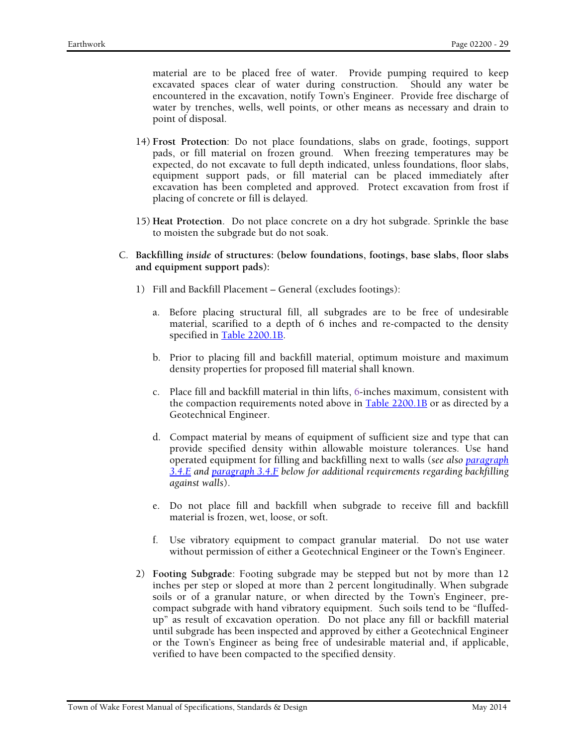material are to be placed free of water. Provide pumping required to keep excavated spaces clear of water during construction. Should any water be encountered in the excavation, notify Town's Engineer. Provide free discharge of water by trenches, wells, well points, or other means as necessary and drain to point of disposal.

- 14) **Frost Protection**: Do not place foundations, slabs on grade, footings, support pads, or fill material on frozen ground. When freezing temperatures may be expected, do not excavate to full depth indicated, unless foundations, floor slabs, equipment support pads, or fill material can be placed immediately after excavation has been completed and approved. Protect excavation from frost if placing of concrete or fill is delayed.
- 15) **Heat Protection**. Do not place concrete on a dry hot subgrade. Sprinkle the base to moisten the subgrade but do not soak.
- C. **Backfilling** *inside* **of structures: (below foundations, footings, base slabs, floor slabs and equipment support pads):** 
	- 1) Fill and Backfill Placement General (excludes footings):
		- a. Before placing structural fill, all subgrades are to be free of undesirable material, scarified to a depth of 6 inches and re-compacted to the density specified in Table 2200.1B.
		- b. Prior to placing fill and backfill material, optimum moisture and maximum density properties for proposed fill material shall known.
		- c. Place fill and backfill material in thin lifts, 6-inches maximum, consistent with the compaction requirements noted above in Table 2200.1B or as directed by a Geotechnical Engineer.
		- d. Compact material by means of equipment of sufficient size and type that can provide specified density within allowable moisture tolerances. Use hand operated equipment for filling and backfilling next to walls (*see also paragraph 3.4.E and paragraph 3.4.F below for additional requirements regarding backfilling against walls*).
		- e. Do not place fill and backfill when subgrade to receive fill and backfill material is frozen, wet, loose, or soft.
		- f. Use vibratory equipment to compact granular material. Do not use water without permission of either a Geotechnical Engineer or the Town's Engineer.
	- 2) **Footing Subgrade**: Footing subgrade may be stepped but not by more than 12 inches per step or sloped at more than 2 percent longitudinally. When subgrade soils or of a granular nature, or when directed by the Town's Engineer, precompact subgrade with hand vibratory equipment. Such soils tend to be "fluffedup" as result of excavation operation. Do not place any fill or backfill material until subgrade has been inspected and approved by either a Geotechnical Engineer or the Town's Engineer as being free of undesirable material and, if applicable, verified to have been compacted to the specified density.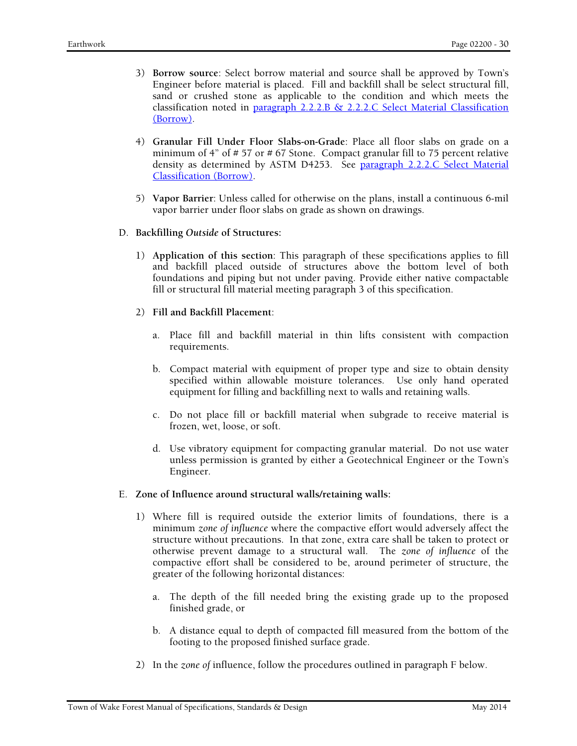- 3) **Borrow source**: Select borrow material and source shall be approved by Town's Engineer before material is placed. Fill and backfill shall be select structural fill, sand or crushed stone as applicable to the condition and which meets the classification noted in paragraph 2.2.2.B & 2.2.2.C Select Material Classification (Borrow).
- 4) **Granular Fill Under Floor Slabs-on-Grade**: Place all floor slabs on grade on a minimum of 4" of # 57 or # 67 Stone. Compact granular fill to 75 percent relative density as determined by ASTM D4253. See paragraph 2.2.2.C Select Material Classification (Borrow).
- 5) **Vapor Barrier**: Unless called for otherwise on the plans, install a continuous 6-mil vapor barrier under floor slabs on grade as shown on drawings.
- D. **Backfilling** *Outside* **of Structures:** 
	- 1) **Application of this section**: This paragraph of these specifications applies to fill and backfill placed outside of structures above the bottom level of both foundations and piping but not under paving. Provide either native compactable fill or structural fill material meeting paragraph 3 of this specification.
	- 2) **Fill and Backfill Placement**:
		- a. Place fill and backfill material in thin lifts consistent with compaction requirements.
		- b. Compact material with equipment of proper type and size to obtain density specified within allowable moisture tolerances. Use only hand operated equipment for filling and backfilling next to walls and retaining walls.
		- c. Do not place fill or backfill material when subgrade to receive material is frozen, wet, loose, or soft.
		- d. Use vibratory equipment for compacting granular material. Do not use water unless permission is granted by either a Geotechnical Engineer or the Town's Engineer.
- E. **Zone of Influence around structural walls/retaining walls:** 
	- 1) Where fill is required outside the exterior limits of foundations, there is a minimum *zone of influence* where the compactive effort would adversely affect the structure without precautions. In that zone, extra care shall be taken to protect or otherwise prevent damage to a structural wall. The *zone of influence* of the compactive effort shall be considered to be, around perimeter of structure, the greater of the following horizontal distances:
		- a. The depth of the fill needed bring the existing grade up to the proposed finished grade, or
		- b. A distance equal to depth of compacted fill measured from the bottom of the footing to the proposed finished surface grade.
	- 2) In the *zone of* influence, follow the procedures outlined in paragraph F below.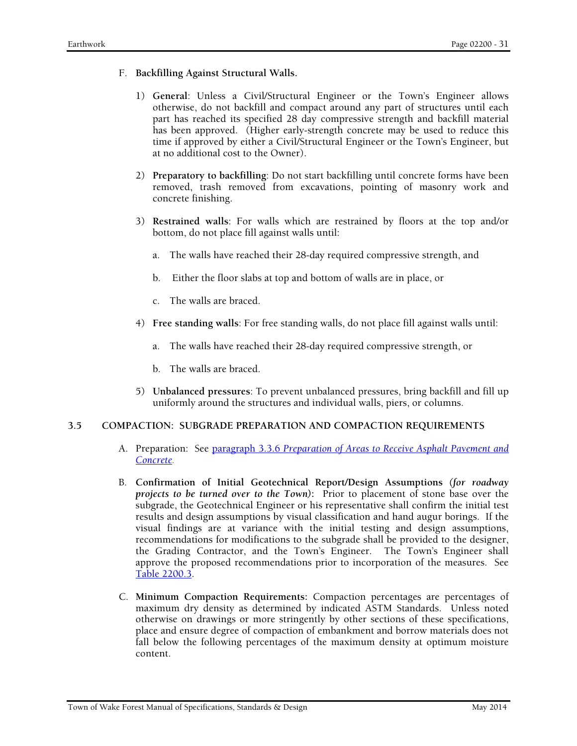- F. **Backfilling Against Structural Walls.** 
	- 1) **General**: Unless a Civil/Structural Engineer or the Town's Engineer allows otherwise, do not backfill and compact around any part of structures until each part has reached its specified 28 day compressive strength and backfill material has been approved. (Higher early-strength concrete may be used to reduce this time if approved by either a Civil/Structural Engineer or the Town's Engineer, but at no additional cost to the Owner).
	- 2) **Preparatory to backfilling**: Do not start backfilling until concrete forms have been removed, trash removed from excavations, pointing of masonry work and concrete finishing.
	- 3) **Restrained walls**: For walls which are restrained by floors at the top and/or bottom, do not place fill against walls until:
		- a. The walls have reached their 28-day required compressive strength, and
		- b. Either the floor slabs at top and bottom of walls are in place, or
		- c. The walls are braced.
	- 4) **Free standing walls**: For free standing walls, do not place fill against walls until:
		- a. The walls have reached their 28-day required compressive strength, or
		- b. The walls are braced.
	- 5) **Unbalanced pressures**: To prevent unbalanced pressures, bring backfill and fill up uniformly around the structures and individual walls, piers, or columns.

# **3.5 COMPACTION: SUBGRADE PREPARATION AND COMPACTION REQUIREMENTS**

- A. Preparation: See paragraph 3.3.6 *Preparation of Areas to Receive Asphalt Pavement and Concrete.*
- B. **Confirmation of Initial Geotechnical Report/Design Assumptions** *(for roadway projects to be turned over to the Town)***:** Prior to placement of stone base over the subgrade, the Geotechnical Engineer or his representative shall confirm the initial test results and design assumptions by visual classification and hand augur borings. If the visual findings are at variance with the initial testing and design assumptions, recommendations for modifications to the subgrade shall be provided to the designer, the Grading Contractor, and the Town's Engineer. The Town's Engineer shall approve the proposed recommendations prior to incorporation of the measures. See Table 2200.3.
- C. **Minimum Compaction Requirements:** Compaction percentages are percentages of maximum dry density as determined by indicated ASTM Standards. Unless noted otherwise on drawings or more stringently by other sections of these specifications, place and ensure degree of compaction of embankment and borrow materials does not fall below the following percentages of the maximum density at optimum moisture content.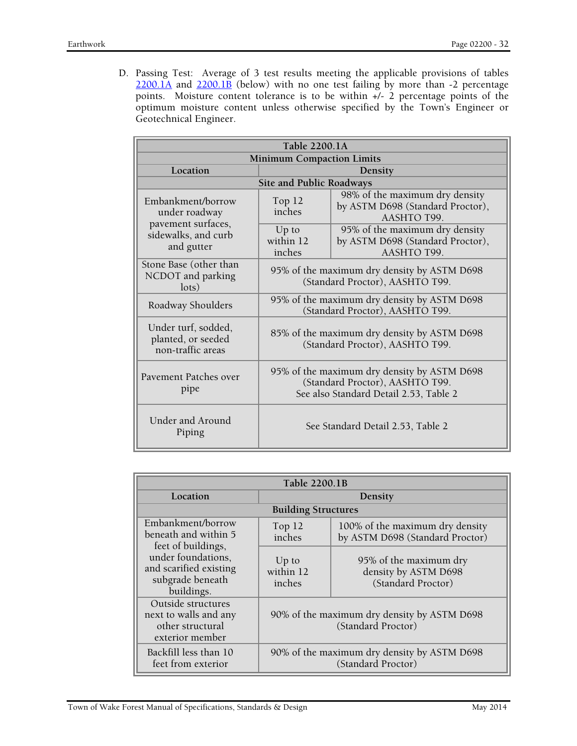D. Passing Test: Average of 3 test results meeting the applicable provisions of tables  $2200.1A$  and  $2200.1B$  (below) with no one test failing by more than -2 percentage points. Moisture content tolerance is to be within +/- 2 percentage points of the optimum moisture content unless otherwise specified by the Town's Engineer or Geotechnical Engineer.

| Table 2200.1A                                                  |                                                                                                                          |                                                                                   |  |
|----------------------------------------------------------------|--------------------------------------------------------------------------------------------------------------------------|-----------------------------------------------------------------------------------|--|
| <b>Minimum Compaction Limits</b>                               |                                                                                                                          |                                                                                   |  |
| Location                                                       | Density                                                                                                                  |                                                                                   |  |
|                                                                | Site and Public Roadways                                                                                                 |                                                                                   |  |
| Embankment/borrow<br>under roadway                             | Top 12<br>inches                                                                                                         | 98% of the maximum dry density<br>by ASTM D698 (Standard Proctor),<br>AASHTO T99. |  |
| pavement surfaces,<br>sidewalks, and curb<br>and gutter        | $Up$ to<br>within 12<br>inches                                                                                           | 95% of the maximum dry density<br>by ASTM D698 (Standard Proctor),<br>AASHTO T99. |  |
| Stone Base (other than<br>NCDOT and parking<br>$\text{lots}$   | 95% of the maximum dry density by ASTM D698<br>(Standard Proctor), AASHTO T99.                                           |                                                                                   |  |
| Roadway Shoulders                                              | 95% of the maximum dry density by ASTM D698<br>(Standard Proctor), AASHTO T99.                                           |                                                                                   |  |
| Under turf, sodded,<br>planted, or seeded<br>non-traffic areas | 85% of the maximum dry density by ASTM D698<br>(Standard Proctor), AASHTO T99.                                           |                                                                                   |  |
| Pavement Patches over<br>pipe                                  | 95% of the maximum dry density by ASTM D698<br>(Standard Proctor), AASHTO T99.<br>See also Standard Detail 2.53, Table 2 |                                                                                   |  |
| Under and Around<br>Piping                                     | See Standard Detail 2.53, Table 2                                                                                        |                                                                                   |  |

| Table 2200.1B                                                                                        |                                                                   |                                                                      |  |
|------------------------------------------------------------------------------------------------------|-------------------------------------------------------------------|----------------------------------------------------------------------|--|
| Location                                                                                             | Density                                                           |                                                                      |  |
|                                                                                                      | <b>Building Structures</b>                                        |                                                                      |  |
| Embankment/borrow<br>beneath and within 5                                                            | Top $12$<br>inches                                                | 100% of the maximum dry density<br>by ASTM D698 (Standard Proctor)   |  |
| feet of buildings,<br>under foundations,<br>and scarified existing<br>subgrade beneath<br>buildings. | $Up$ to<br>within 12<br>inches                                    | 95% of the maximum dry<br>density by ASTM D698<br>(Standard Proctor) |  |
| Outside structures<br>next to walls and any<br>other structural<br>exterior member                   | 90% of the maximum dry density by ASTM D698<br>(Standard Proctor) |                                                                      |  |
| Backfill less than 10<br>feet from exterior                                                          | 90% of the maximum dry density by ASTM D698<br>(Standard Proctor) |                                                                      |  |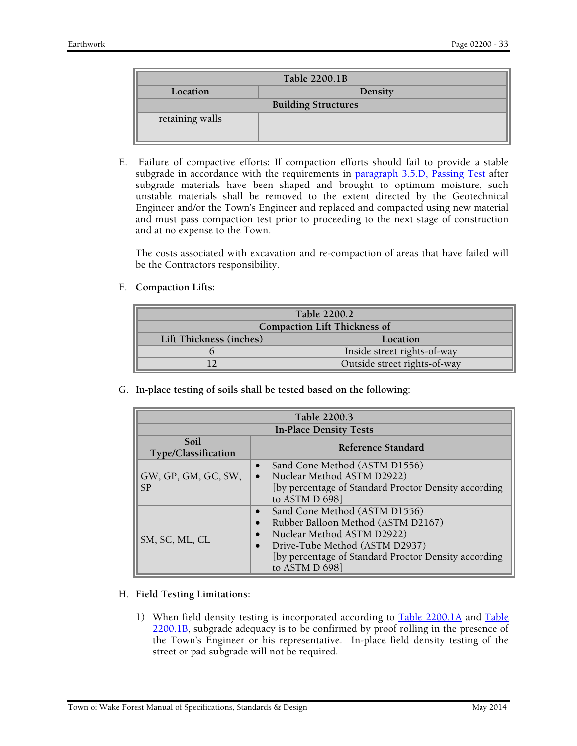| Table 2200.1B              |         |  |
|----------------------------|---------|--|
| Location                   | Density |  |
| <b>Building Structures</b> |         |  |
| retaining walls            |         |  |

E. Failure of compactive efforts**:** If compaction efforts should fail to provide a stable subgrade in accordance with the requirements in paragraph 3.5.D, Passing Test after subgrade materials have been shaped and brought to optimum moisture, such unstable materials shall be removed to the extent directed by the Geotechnical Engineer and/or the Town's Engineer and replaced and compacted using new material and must pass compaction test prior to proceeding to the next stage of construction and at no expense to the Town.

The costs associated with excavation and re-compaction of areas that have failed will be the Contractors responsibility.

F. **Compaction Lifts:** 

| Table 2200.2                        |                             |  |
|-------------------------------------|-----------------------------|--|
| <b>Compaction Lift Thickness of</b> |                             |  |
| Lift Thickness (inches)<br>Location |                             |  |
|                                     | Inside street rights-of-way |  |
| Outside street rights-of-way        |                             |  |

G. **In-place testing of soils shall be tested based on the following:** 

| Table 2200.3                  |                                                                                                                                                                                                                                                                   |  |
|-------------------------------|-------------------------------------------------------------------------------------------------------------------------------------------------------------------------------------------------------------------------------------------------------------------|--|
| <b>In-Place Density Tests</b> |                                                                                                                                                                                                                                                                   |  |
| Soil<br>Type/Classification   | Reference Standard                                                                                                                                                                                                                                                |  |
| GW, GP, GM, GC, SW,<br>SP     | Sand Cone Method (ASTM D1556)<br>$\bullet$<br>Nuclear Method ASTM D2922)<br>$\bullet$<br>[by percentage of Standard Proctor Density according<br>to ASTM D 698]                                                                                                   |  |
| SM, SC, ML, CL                | Sand Cone Method (ASTM D1556)<br>$\bullet$<br>Rubber Balloon Method (ASTM D2167)<br>$\bullet$<br>Nuclear Method ASTM D2922)<br>$\bullet$<br>Drive-Tube Method (ASTM D2937)<br>$\bullet$<br>[by percentage of Standard Proctor Density according<br>to ASTM D 698] |  |

#### H. **Field Testing Limitations:**

1) When field density testing is incorporated according to Table 2200.1A and Table 2200.1B, subgrade adequacy is to be confirmed by proof rolling in the presence of the Town's Engineer or his representative. In-place field density testing of the street or pad subgrade will not be required.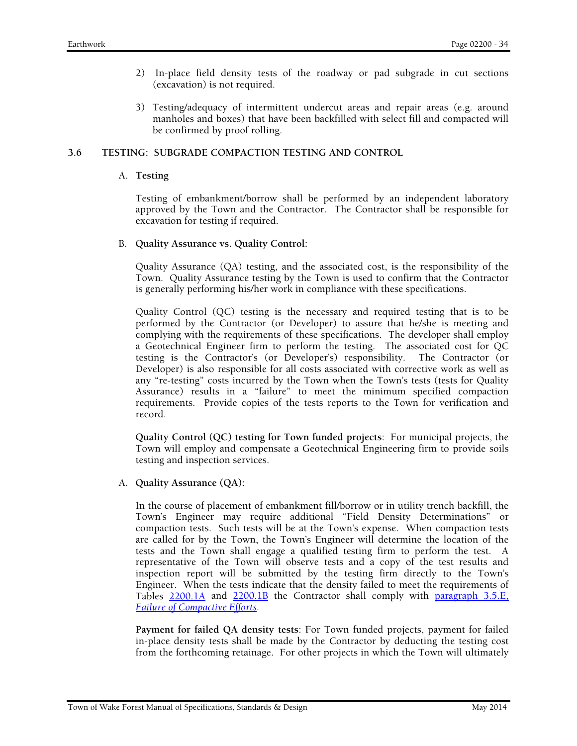- 2) In-place field density tests of the roadway or pad subgrade in cut sections (excavation) is not required.
- 3) Testing/adequacy of intermittent undercut areas and repair areas (e.g. around manholes and boxes) that have been backfilled with select fill and compacted will be confirmed by proof rolling.

# **3.6 TESTING: SUBGRADE COMPACTION TESTING AND CONTROL**

### A. **Testing**

Testing of embankment/borrow shall be performed by an independent laboratory approved by the Town and the Contractor. The Contractor shall be responsible for excavation for testing if required.

B. **Quality Assurance vs. Quality Control:** 

Quality Assurance (QA) testing, and the associated cost, is the responsibility of the Town. Quality Assurance testing by the Town is used to confirm that the Contractor is generally performing his/her work in compliance with these specifications.

Quality Control (QC) testing is the necessary and required testing that is to be performed by the Contractor (or Developer) to assure that he/she is meeting and complying with the requirements of these specifications. The developer shall employ a Geotechnical Engineer firm to perform the testing. The associated cost for QC testing is the Contractor's (or Developer's) responsibility. The Contractor (or Developer) is also responsible for all costs associated with corrective work as well as any "re-testing" costs incurred by the Town when the Town's tests (tests for Quality Assurance) results in a "failure" to meet the minimum specified compaction requirements. Provide copies of the tests reports to the Town for verification and record.

**Quality Control (QC) testing for Town funded projects**: For municipal projects, the Town will employ and compensate a Geotechnical Engineering firm to provide soils testing and inspection services.

A. **Quality Assurance (QA):** 

In the course of placement of embankment fill/borrow or in utility trench backfill, the Town's Engineer may require additional "Field Density Determinations" or compaction tests. Such tests will be at the Town's expense. When compaction tests are called for by the Town, the Town's Engineer will determine the location of the tests and the Town shall engage a qualified testing firm to perform the test. A representative of the Town will observe tests and a copy of the test results and inspection report will be submitted by the testing firm directly to the Town's Engineer. When the tests indicate that the density failed to meet the requirements of Tables 2200.1A and 2200.1B the Contractor shall comply with paragraph 3.5.E, *Failure of Compactive Efforts*.

**Payment for failed QA density tests**: For Town funded projects, payment for failed in-place density tests shall be made by the Contractor by deducting the testing cost from the forthcoming retainage. For other projects in which the Town will ultimately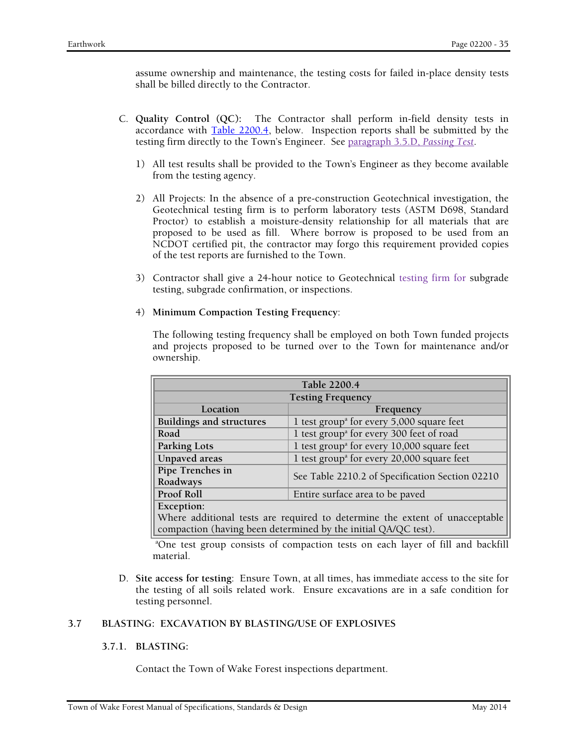assume ownership and maintenance, the testing costs for failed in-place density tests shall be billed directly to the Contractor.

- C. **Quality Control (QC):** The Contractor shall perform in-field density tests in accordance with Table 2200.4, below. Inspection reports shall be submitted by the testing firm directly to the Town's Engineer. See paragraph 3.5.D, *Passing Test*.
	- 1) All test results shall be provided to the Town's Engineer as they become available from the testing agency.
	- 2) All Projects: In the absence of a pre-construction Geotechnical investigation, the Geotechnical testing firm is to perform laboratory tests (ASTM D698, Standard Proctor) to establish a moisture-density relationship for all materials that are proposed to be used as fill. Where borrow is proposed to be used from an NCDOT certified pit, the contractor may forgo this requirement provided copies of the test reports are furnished to the Town.
	- 3) Contractor shall give a 24-hour notice to Geotechnical testing firm for subgrade testing, subgrade confirmation, or inspections.

#### 4) **Minimum Compaction Testing Frequency**:

The following testing frequency shall be employed on both Town funded projects and projects proposed to be turned over to the Town for maintenance and/or ownership.

| Table 2200.4                                                                |                                                                         |  |  |
|-----------------------------------------------------------------------------|-------------------------------------------------------------------------|--|--|
| <b>Testing Frequency</b>                                                    |                                                                         |  |  |
| Location<br>Frequency                                                       |                                                                         |  |  |
| <b>Buildings and structures</b>                                             | 1 test group <sup><math>\alpha</math></sup> for every 5,000 square feet |  |  |
| Road                                                                        | 1 test group <sup>a</sup> for every 300 feet of road                    |  |  |
| <b>Parking Lots</b>                                                         | 1 test group <sup>a</sup> for every 10,000 square feet                  |  |  |
| <b>Unpaved</b> areas                                                        | 1 test group <sup>a</sup> for every 20,000 square feet                  |  |  |
| Pipe Trenches in<br>See Table 2210.2 of Specification Section 02210         |                                                                         |  |  |
| Roadways                                                                    |                                                                         |  |  |
| Proof Roll                                                                  | Entire surface area to be paved                                         |  |  |
| Exception:                                                                  |                                                                         |  |  |
| Where additional tests are required to determine the extent of unacceptable |                                                                         |  |  |
| compaction (having been determined by the initial QA/QC test).              |                                                                         |  |  |

a One test group consists of compaction tests on each layer of fill and backfill material.

D. **Site access for testing**: Ensure Town, at all times, has immediate access to the site for the testing of all soils related work. Ensure excavations are in a safe condition for testing personnel.

# **3.7 BLASTING: EXCAVATION BY BLASTING/USE OF EXPLOSIVES**

#### **3.7.1. BLASTING:**

Contact the Town of Wake Forest inspections department.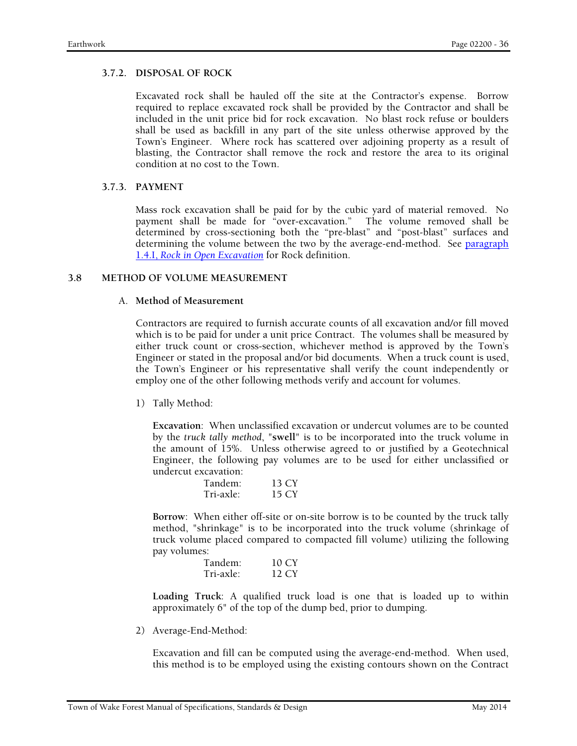### **3.7.2. DISPOSAL OF ROCK**

Excavated rock shall be hauled off the site at the Contractor's expense. Borrow required to replace excavated rock shall be provided by the Contractor and shall be included in the unit price bid for rock excavation. No blast rock refuse or boulders shall be used as backfill in any part of the site unless otherwise approved by the Town's Engineer. Where rock has scattered over adjoining property as a result of blasting, the Contractor shall remove the rock and restore the area to its original condition at no cost to the Town.

### **3.7.3. PAYMENT**

Mass rock excavation shall be paid for by the cubic yard of material removed. No payment shall be made for "over-excavation." The volume removed shall be determined by cross-sectioning both the "pre-blast" and "post-blast" surfaces and determining the volume between the two by the average-end-method. See paragraph 1.4.I, *Rock in Open Excavation* for Rock definition.

### **3.8 METHOD OF VOLUME MEASUREMENT**

### A. **Method of Measurement**

Contractors are required to furnish accurate counts of all excavation and/or fill moved which is to be paid for under a unit price Contract. The volumes shall be measured by either truck count or cross-section, whichever method is approved by the Town's Engineer or stated in the proposal and/or bid documents. When a truck count is used, the Town's Engineer or his representative shall verify the count independently or employ one of the other following methods verify and account for volumes.

1) Tally Method:

**Excavation**: When unclassified excavation or undercut volumes are to be counted by the *truck tally method*, "**swell**" is to be incorporated into the truck volume in the amount of 15%. Unless otherwise agreed to or justified by a Geotechnical Engineer, the following pay volumes are to be used for either unclassified or undercut excavation:

| Tandem:   | 13 CY |
|-----------|-------|
| Tri-axle: | 15 CY |

**Borrow**: When either off-site or on-site borrow is to be counted by the truck tally method, "shrinkage" is to be incorporated into the truck volume (shrinkage of truck volume placed compared to compacted fill volume) utilizing the following pay volumes:

| Tandem:   | 10 CY |
|-----------|-------|
| Tri-axle: | 12 CY |

**Loading Truck**: A qualified truck load is one that is loaded up to within approximately 6" of the top of the dump bed, prior to dumping.

2) Average-End-Method:

Excavation and fill can be computed using the average-end-method. When used, this method is to be employed using the existing contours shown on the Contract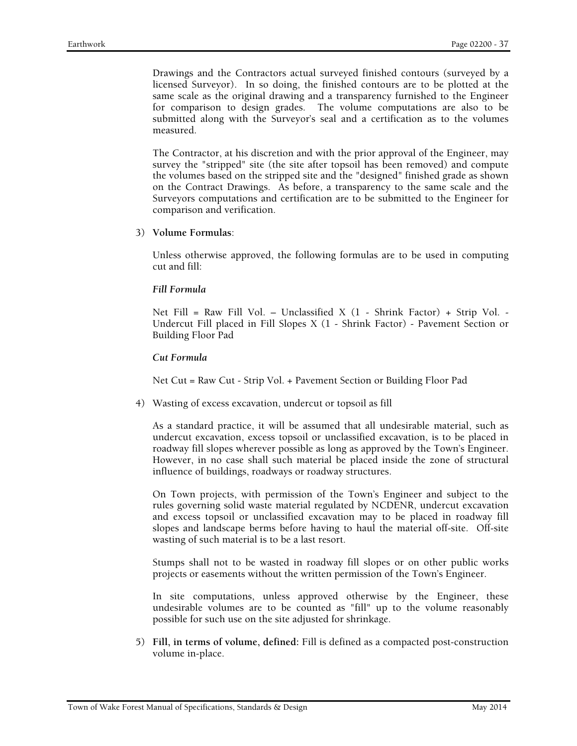Drawings and the Contractors actual surveyed finished contours (surveyed by a licensed Surveyor). In so doing, the finished contours are to be plotted at the same scale as the original drawing and a transparency furnished to the Engineer for comparison to design grades. The volume computations are also to be submitted along with the Surveyor's seal and a certification as to the volumes measured.

The Contractor, at his discretion and with the prior approval of the Engineer, may survey the "stripped" site (the site after topsoil has been removed) and compute the volumes based on the stripped site and the "designed" finished grade as shown on the Contract Drawings. As before, a transparency to the same scale and the Surveyors computations and certification are to be submitted to the Engineer for comparison and verification.

3) **Volume Formulas**:

Unless otherwise approved, the following formulas are to be used in computing cut and fill:

#### *Fill Formula*

Net Fill = Raw Fill Vol. – Unclassified X (1 - Shrink Factor) + Strip Vol. - Undercut Fill placed in Fill Slopes X (1 - Shrink Factor) - Pavement Section or Building Floor Pad

*Cut Formula* 

Net Cut = Raw Cut - Strip Vol. + Pavement Section or Building Floor Pad

4) Wasting of excess excavation, undercut or topsoil as fill

As a standard practice, it will be assumed that all undesirable material, such as undercut excavation, excess topsoil or unclassified excavation, is to be placed in roadway fill slopes wherever possible as long as approved by the Town's Engineer. However, in no case shall such material be placed inside the zone of structural influence of buildings, roadways or roadway structures.

On Town projects, with permission of the Town's Engineer and subject to the rules governing solid waste material regulated by NCDENR, undercut excavation and excess topsoil or unclassified excavation may to be placed in roadway fill slopes and landscape berms before having to haul the material off-site. Off-site wasting of such material is to be a last resort.

Stumps shall not to be wasted in roadway fill slopes or on other public works projects or easements without the written permission of the Town's Engineer.

In site computations, unless approved otherwise by the Engineer, these undesirable volumes are to be counted as "fill" up to the volume reasonably possible for such use on the site adjusted for shrinkage.

5) **Fill, in terms of volume, defined:** Fill is defined as a compacted post-construction volume in-place.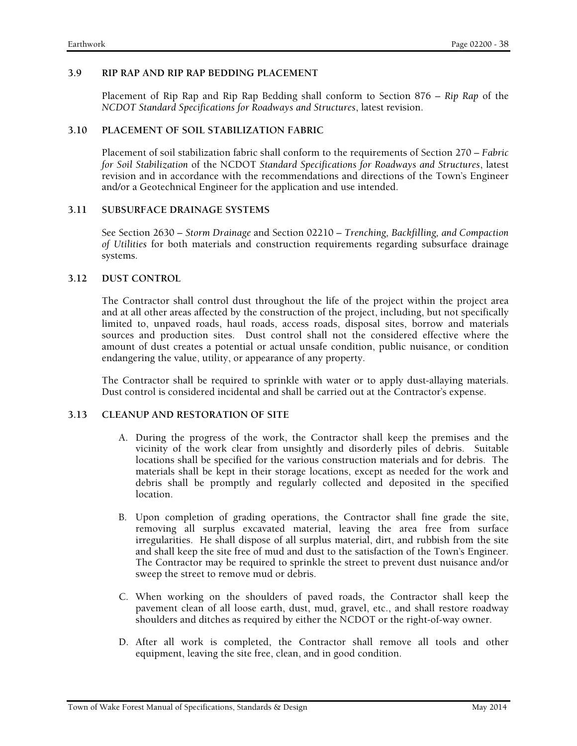### **3.9 RIP RAP AND RIP RAP BEDDING PLACEMENT**

Placement of Rip Rap and Rip Rap Bedding shall conform to Section 876 – *Rip Rap* of the *NCDOT Standard Specifications for Roadways and Structures*, latest revision.

### **3.10 PLACEMENT OF SOIL STABILIZATION FABRIC**

Placement of soil stabilization fabric shall conform to the requirements of Section 270 – *Fabric for Soil Stabilization* of the NCDOT *Standard Specifications for Roadways and Structures*, latest revision and in accordance with the recommendations and directions of the Town's Engineer and/or a Geotechnical Engineer for the application and use intended.

### **3.11 SUBSURFACE DRAINAGE SYSTEMS**

See Section 2630 – *Storm Drainage* and Section 02210 – *Trenching, Backfilling, and Compaction of Utilities* for both materials and construction requirements regarding subsurface drainage systems.

### **3.12 DUST CONTROL**

The Contractor shall control dust throughout the life of the project within the project area and at all other areas affected by the construction of the project, including, but not specifically limited to, unpaved roads, haul roads, access roads, disposal sites, borrow and materials sources and production sites. Dust control shall not the considered effective where the amount of dust creates a potential or actual unsafe condition, public nuisance, or condition endangering the value, utility, or appearance of any property.

The Contractor shall be required to sprinkle with water or to apply dust-allaying materials. Dust control is considered incidental and shall be carried out at the Contractor's expense.

# **3.13 CLEANUP AND RESTORATION OF SITE**

- A. During the progress of the work, the Contractor shall keep the premises and the vicinity of the work clear from unsightly and disorderly piles of debris. Suitable locations shall be specified for the various construction materials and for debris. The materials shall be kept in their storage locations, except as needed for the work and debris shall be promptly and regularly collected and deposited in the specified location.
- B. Upon completion of grading operations, the Contractor shall fine grade the site, removing all surplus excavated material, leaving the area free from surface irregularities. He shall dispose of all surplus material, dirt, and rubbish from the site and shall keep the site free of mud and dust to the satisfaction of the Town's Engineer. The Contractor may be required to sprinkle the street to prevent dust nuisance and/or sweep the street to remove mud or debris.
- C. When working on the shoulders of paved roads, the Contractor shall keep the pavement clean of all loose earth, dust, mud, gravel, etc., and shall restore roadway shoulders and ditches as required by either the NCDOT or the right-of-way owner.
- D. After all work is completed, the Contractor shall remove all tools and other equipment, leaving the site free, clean, and in good condition.